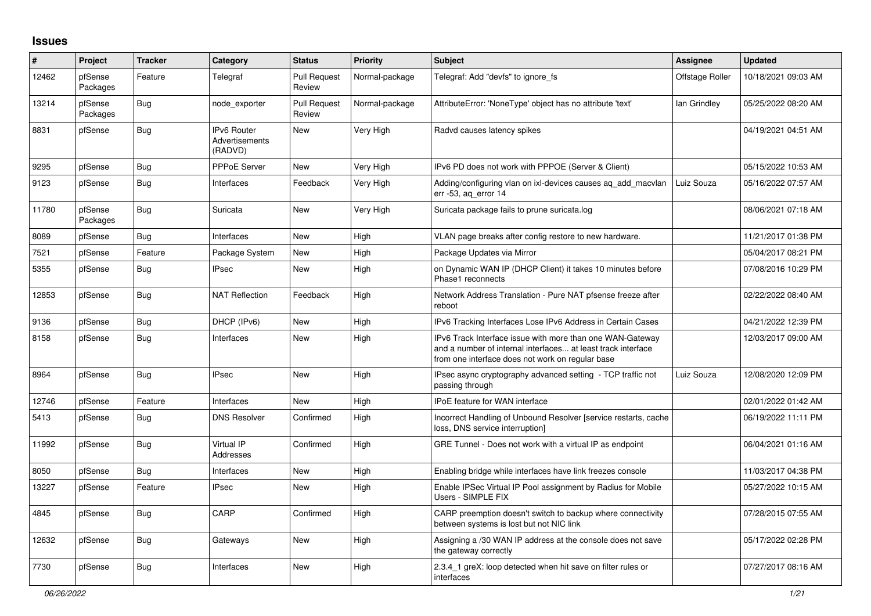## **Issues**

| #     | Project             | <b>Tracker</b> | Category                                        | <b>Status</b>                 | <b>Priority</b> | <b>Subject</b>                                                                                                                                                                | <b>Assignee</b> | <b>Updated</b>      |
|-------|---------------------|----------------|-------------------------------------------------|-------------------------------|-----------------|-------------------------------------------------------------------------------------------------------------------------------------------------------------------------------|-----------------|---------------------|
| 12462 | pfSense<br>Packages | Feature        | Telegraf                                        | <b>Pull Request</b><br>Review | Normal-package  | Telegraf: Add "devfs" to ignore fs                                                                                                                                            | Offstage Roller | 10/18/2021 09:03 AM |
| 13214 | pfSense<br>Packages | Bug            | node exporter                                   | <b>Pull Request</b><br>Review | Normal-package  | AttributeError: 'NoneType' object has no attribute 'text'                                                                                                                     | lan Grindley    | 05/25/2022 08:20 AM |
| 8831  | pfSense             | <b>Bug</b>     | IPv6 Router<br><b>Advertisements</b><br>(RADVD) | <b>New</b>                    | Very High       | Radvd causes latency spikes                                                                                                                                                   |                 | 04/19/2021 04:51 AM |
| 9295  | pfSense             | Bug            | PPPoE Server                                    | <b>New</b>                    | Very High       | IPv6 PD does not work with PPPOE (Server & Client)                                                                                                                            |                 | 05/15/2022 10:53 AM |
| 9123  | pfSense             | <b>Bug</b>     | Interfaces                                      | Feedback                      | Very High       | Adding/configuring vlan on ixi-devices causes ag add macvlan<br>err -53, aq_error 14                                                                                          | Luiz Souza      | 05/16/2022 07:57 AM |
| 11780 | pfSense<br>Packages | <b>Bug</b>     | Suricata                                        | <b>New</b>                    | Very High       | Suricata package fails to prune suricata.log                                                                                                                                  |                 | 08/06/2021 07:18 AM |
| 8089  | pfSense             | <b>Bug</b>     | Interfaces                                      | <b>New</b>                    | High            | VLAN page breaks after config restore to new hardware.                                                                                                                        |                 | 11/21/2017 01:38 PM |
| 7521  | pfSense             | Feature        | Package System                                  | New                           | High            | Package Updates via Mirror                                                                                                                                                    |                 | 05/04/2017 08:21 PM |
| 5355  | pfSense             | <b>Bug</b>     | <b>IPsec</b>                                    | <b>New</b>                    | High            | on Dynamic WAN IP (DHCP Client) it takes 10 minutes before<br>Phase1 reconnects                                                                                               |                 | 07/08/2016 10:29 PM |
| 12853 | pfSense             | Bug            | <b>NAT Reflection</b>                           | Feedback                      | High            | Network Address Translation - Pure NAT pfsense freeze after<br>reboot                                                                                                         |                 | 02/22/2022 08:40 AM |
| 9136  | pfSense             | <b>Bug</b>     | DHCP (IPv6)                                     | <b>New</b>                    | High            | IPv6 Tracking Interfaces Lose IPv6 Address in Certain Cases                                                                                                                   |                 | 04/21/2022 12:39 PM |
| 8158  | pfSense             | <b>Bug</b>     | Interfaces                                      | <b>New</b>                    | High            | IPv6 Track Interface issue with more than one WAN-Gateway<br>and a number of internal interfaces at least track interface<br>from one interface does not work on regular base |                 | 12/03/2017 09:00 AM |
| 8964  | pfSense             | Bug            | <b>IPsec</b>                                    | <b>New</b>                    | High            | IPsec async cryptography advanced setting - TCP traffic not<br>passing through                                                                                                | Luiz Souza      | 12/08/2020 12:09 PM |
| 12746 | pfSense             | Feature        | Interfaces                                      | <b>New</b>                    | High            | <b>IPoE feature for WAN interface</b>                                                                                                                                         |                 | 02/01/2022 01:42 AM |
| 5413  | pfSense             | Bug            | <b>DNS Resolver</b>                             | Confirmed                     | High            | Incorrect Handling of Unbound Resolver [service restarts, cache<br>loss, DNS service interruption]                                                                            |                 | 06/19/2022 11:11 PM |
| 11992 | pfSense             | Bug            | Virtual IP<br>Addresses                         | Confirmed                     | High            | GRE Tunnel - Does not work with a virtual IP as endpoint                                                                                                                      |                 | 06/04/2021 01:16 AM |
| 8050  | pfSense             | <b>Bug</b>     | Interfaces                                      | New                           | High            | Enabling bridge while interfaces have link freezes console                                                                                                                    |                 | 11/03/2017 04:38 PM |
| 13227 | pfSense             | Feature        | <b>IPsec</b>                                    | New                           | High            | Enable IPSec Virtual IP Pool assignment by Radius for Mobile<br>Users - SIMPLE FIX                                                                                            |                 | 05/27/2022 10:15 AM |
| 4845  | pfSense             | Bug            | CARP                                            | Confirmed                     | High            | CARP preemption doesn't switch to backup where connectivity<br>between systems is lost but not NIC link                                                                       |                 | 07/28/2015 07:55 AM |
| 12632 | pfSense             | <b>Bug</b>     | Gateways                                        | New                           | High            | Assigning a /30 WAN IP address at the console does not save<br>the gateway correctly                                                                                          |                 | 05/17/2022 02:28 PM |
| 7730  | pfSense             | Bug            | Interfaces                                      | New                           | High            | 2.3.4 1 greX: loop detected when hit save on filter rules or<br>interfaces                                                                                                    |                 | 07/27/2017 08:16 AM |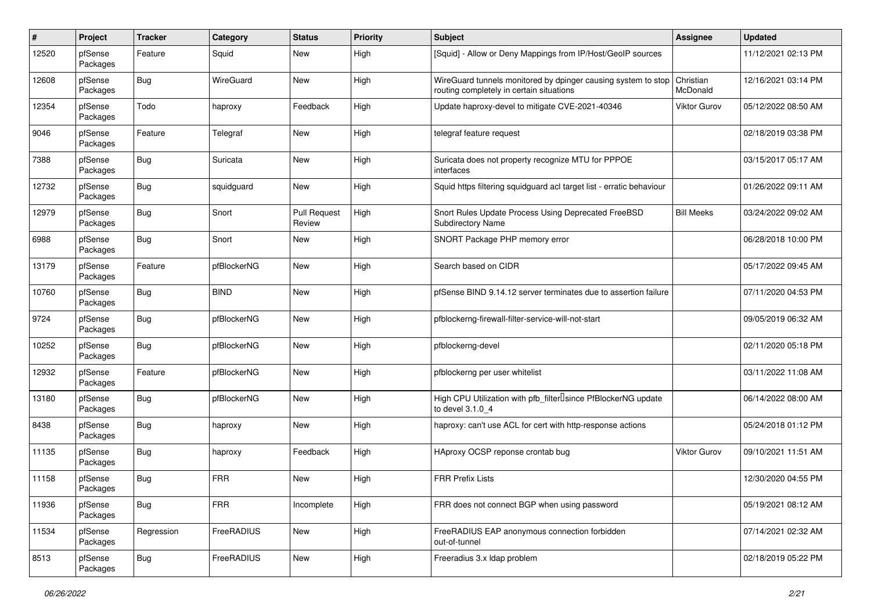| $\pmb{\#}$ | Project             | <b>Tracker</b> | Category    | <b>Status</b>                 | <b>Priority</b> | Subject                                                                                                   | <b>Assignee</b>       | <b>Updated</b>      |
|------------|---------------------|----------------|-------------|-------------------------------|-----------------|-----------------------------------------------------------------------------------------------------------|-----------------------|---------------------|
| 12520      | pfSense<br>Packages | Feature        | Squid       | <b>New</b>                    | High            | [Squid] - Allow or Deny Mappings from IP/Host/GeoIP sources                                               |                       | 11/12/2021 02:13 PM |
| 12608      | pfSense<br>Packages | Bug            | WireGuard   | New                           | High            | WireGuard tunnels monitored by dpinger causing system to stop<br>routing completely in certain situations | Christian<br>McDonald | 12/16/2021 03:14 PM |
| 12354      | pfSense<br>Packages | Todo           | haproxy     | Feedback                      | High            | Update haproxy-devel to mitigate CVE-2021-40346                                                           | <b>Viktor Gurov</b>   | 05/12/2022 08:50 AM |
| 9046       | pfSense<br>Packages | Feature        | Telegraf    | New                           | High            | telegraf feature request                                                                                  |                       | 02/18/2019 03:38 PM |
| 7388       | pfSense<br>Packages | Bug            | Suricata    | New                           | High            | Suricata does not property recognize MTU for PPPOE<br>interfaces                                          |                       | 03/15/2017 05:17 AM |
| 12732      | pfSense<br>Packages | Bug            | squidguard  | New                           | High            | Squid https filtering squidguard acl target list - erratic behaviour                                      |                       | 01/26/2022 09:11 AM |
| 12979      | pfSense<br>Packages | Bug            | Snort       | <b>Pull Request</b><br>Review | High            | Snort Rules Update Process Using Deprecated FreeBSD<br>Subdirectory Name                                  | <b>Bill Meeks</b>     | 03/24/2022 09:02 AM |
| 6988       | pfSense<br>Packages | Bug            | Snort       | <b>New</b>                    | High            | SNORT Package PHP memory error                                                                            |                       | 06/28/2018 10:00 PM |
| 13179      | pfSense<br>Packages | Feature        | pfBlockerNG | <b>New</b>                    | High            | Search based on CIDR                                                                                      |                       | 05/17/2022 09:45 AM |
| 10760      | pfSense<br>Packages | Bug            | <b>BIND</b> | <b>New</b>                    | High            | pfSense BIND 9.14.12 server terminates due to assertion failure                                           |                       | 07/11/2020 04:53 PM |
| 9724       | pfSense<br>Packages | Bug            | pfBlockerNG | New                           | High            | pfblockerng-firewall-filter-service-will-not-start                                                        |                       | 09/05/2019 06:32 AM |
| 10252      | pfSense<br>Packages | Bug            | pfBlockerNG | New                           | High            | pfblockerng-devel                                                                                         |                       | 02/11/2020 05:18 PM |
| 12932      | pfSense<br>Packages | Feature        | pfBlockerNG | New                           | High            | pfblockerng per user whitelist                                                                            |                       | 03/11/2022 11:08 AM |
| 13180      | pfSense<br>Packages | Bug            | pfBlockerNG | New                           | High            | High CPU Utilization with pfb_filter <sup>[]</sup> since PfBlockerNG update<br>to devel 3.1.0_4           |                       | 06/14/2022 08:00 AM |
| 8438       | pfSense<br>Packages | Bug            | haproxy     | New                           | High            | haproxy: can't use ACL for cert with http-response actions                                                |                       | 05/24/2018 01:12 PM |
| 11135      | pfSense<br>Packages | Bug            | haproxy     | Feedback                      | High            | HAproxy OCSP reponse crontab bug                                                                          | <b>Viktor Gurov</b>   | 09/10/2021 11:51 AM |
| 11158      | pfSense<br>Packages | Bug            | <b>FRR</b>  | New                           | High            | <b>FRR Prefix Lists</b>                                                                                   |                       | 12/30/2020 04:55 PM |
| 11936      | pfSense<br>Packages | <b>Bug</b>     | <b>FRR</b>  | Incomplete                    | High            | FRR does not connect BGP when using password                                                              |                       | 05/19/2021 08:12 AM |
| 11534      | pfSense<br>Packages | Regression     | FreeRADIUS  | New                           | High            | FreeRADIUS EAP anonymous connection forbidden<br>out-of-tunnel                                            |                       | 07/14/2021 02:32 AM |
| 8513       | pfSense<br>Packages | Bug            | FreeRADIUS  | New                           | High            | Freeradius 3.x Idap problem                                                                               |                       | 02/18/2019 05:22 PM |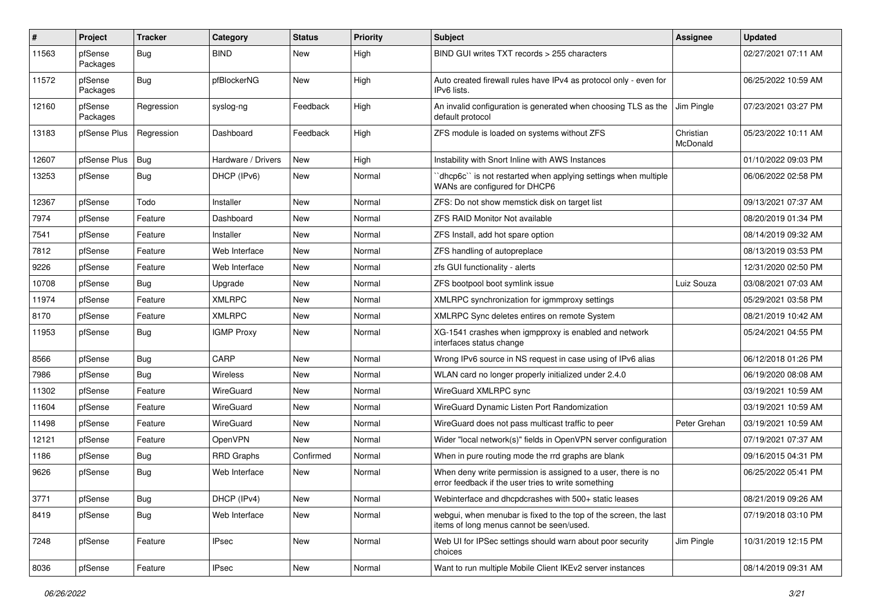| ∦     | <b>Project</b>      | <b>Tracker</b> | Category           | <b>Status</b> | <b>Priority</b> | <b>Subject</b>                                                                                                       | Assignee              | <b>Updated</b>      |
|-------|---------------------|----------------|--------------------|---------------|-----------------|----------------------------------------------------------------------------------------------------------------------|-----------------------|---------------------|
| 11563 | pfSense<br>Packages | Bug            | <b>BIND</b>        | New           | High            | BIND GUI writes TXT records > 255 characters                                                                         |                       | 02/27/2021 07:11 AM |
| 11572 | pfSense<br>Packages | Bug            | pfBlockerNG        | New           | High            | Auto created firewall rules have IPv4 as protocol only - even for<br>IPv6 lists.                                     |                       | 06/25/2022 10:59 AM |
| 12160 | pfSense<br>Packages | Regression     | syslog-ng          | Feedback      | High            | An invalid configuration is generated when choosing TLS as the<br>default protocol                                   | Jim Pingle            | 07/23/2021 03:27 PM |
| 13183 | pfSense Plus        | Regression     | Dashboard          | Feedback      | High            | ZFS module is loaded on systems without ZFS                                                                          | Christian<br>McDonald | 05/23/2022 10:11 AM |
| 12607 | pfSense Plus        | Bug            | Hardware / Drivers | New           | High            | Instability with Snort Inline with AWS Instances                                                                     |                       | 01/10/2022 09:03 PM |
| 13253 | pfSense             | Bug            | DHCP (IPv6)        | New           | Normal          | 'dhcp6c' is not restarted when applying settings when multiple<br>WANs are configured for DHCP6                      |                       | 06/06/2022 02:58 PM |
| 12367 | pfSense             | Todo           | Installer          | New           | Normal          | ZFS: Do not show memstick disk on target list                                                                        |                       | 09/13/2021 07:37 AM |
| 7974  | pfSense             | Feature        | Dashboard          | New           | Normal          | ZFS RAID Monitor Not available                                                                                       |                       | 08/20/2019 01:34 PM |
| 7541  | pfSense             | Feature        | Installer          | New           | Normal          | ZFS Install, add hot spare option                                                                                    |                       | 08/14/2019 09:32 AM |
| 7812  | pfSense             | Feature        | Web Interface      | New           | Normal          | ZFS handling of autopreplace                                                                                         |                       | 08/13/2019 03:53 PM |
| 9226  | pfSense             | Feature        | Web Interface      | New           | Normal          | zfs GUI functionality - alerts                                                                                       |                       | 12/31/2020 02:50 PM |
| 10708 | pfSense             | Bug            | Upgrade            | New           | Normal          | ZFS bootpool boot symlink issue                                                                                      | Luiz Souza            | 03/08/2021 07:03 AM |
| 11974 | pfSense             | Feature        | <b>XMLRPC</b>      | New           | Normal          | XMLRPC synchronization for igmmproxy settings                                                                        |                       | 05/29/2021 03:58 PM |
| 8170  | pfSense             | Feature        | <b>XMLRPC</b>      | New           | Normal          | XMLRPC Sync deletes entires on remote System                                                                         |                       | 08/21/2019 10:42 AM |
| 11953 | pfSense             | Bug            | <b>IGMP Proxy</b>  | New           | Normal          | XG-1541 crashes when igmpproxy is enabled and network<br>interfaces status change                                    |                       | 05/24/2021 04:55 PM |
| 8566  | pfSense             | Bug            | CARP               | New           | Normal          | Wrong IPv6 source in NS request in case using of IPv6 alias                                                          |                       | 06/12/2018 01:26 PM |
| 7986  | pfSense             | <b>Bug</b>     | <b>Wireless</b>    | New           | Normal          | WLAN card no longer properly initialized under 2.4.0                                                                 |                       | 06/19/2020 08:08 AM |
| 11302 | pfSense             | Feature        | WireGuard          | New           | Normal          | WireGuard XMLRPC sync                                                                                                |                       | 03/19/2021 10:59 AM |
| 11604 | pfSense             | Feature        | WireGuard          | New           | Normal          | WireGuard Dynamic Listen Port Randomization                                                                          |                       | 03/19/2021 10:59 AM |
| 11498 | pfSense             | Feature        | WireGuard          | New           | Normal          | WireGuard does not pass multicast traffic to peer                                                                    | Peter Grehan          | 03/19/2021 10:59 AM |
| 12121 | pfSense             | Feature        | <b>OpenVPN</b>     | New           | Normal          | Wider "local network(s)" fields in OpenVPN server configuration                                                      |                       | 07/19/2021 07:37 AM |
| 1186  | pfSense             | <b>Bug</b>     | <b>RRD Graphs</b>  | Confirmed     | Normal          | When in pure routing mode the rrd graphs are blank                                                                   |                       | 09/16/2015 04:31 PM |
| 9626  | pfSense             | <b>Bug</b>     | Web Interface      | New           | Normal          | When deny write permission is assigned to a user, there is no<br>error feedback if the user tries to write something |                       | 06/25/2022 05:41 PM |
| 3771  | pfSense             | <b>Bug</b>     | DHCP (IPv4)        | New           | Normal          | Webinterface and dhcpdcrashes with 500+ static leases                                                                |                       | 08/21/2019 09:26 AM |
| 8419  | pfSense             | Bug            | Web Interface      | New           | Normal          | webgui, when menubar is fixed to the top of the screen, the last<br>items of long menus cannot be seen/used.         |                       | 07/19/2018 03:10 PM |
| 7248  | pfSense             | Feature        | <b>IPsec</b>       | New           | Normal          | Web UI for IPSec settings should warn about poor security<br>choices                                                 | Jim Pingle            | 10/31/2019 12:15 PM |
| 8036  | pfSense             | Feature        | <b>IPsec</b>       | New           | Normal          | Want to run multiple Mobile Client IKEv2 server instances                                                            |                       | 08/14/2019 09:31 AM |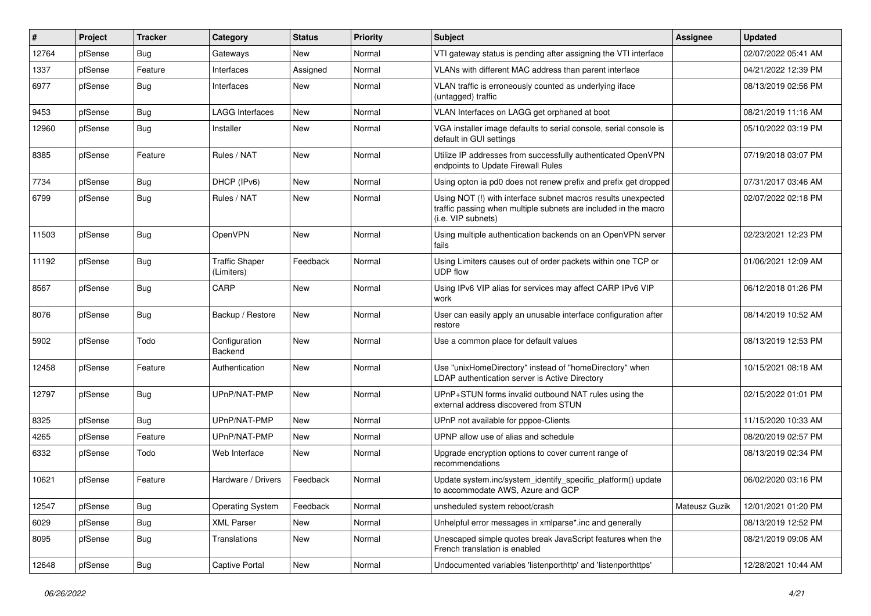| #     | Project | <b>Tracker</b> | Category                            | <b>Status</b> | <b>Priority</b> | <b>Subject</b>                                                                                                                                         | <b>Assignee</b> | <b>Updated</b>      |
|-------|---------|----------------|-------------------------------------|---------------|-----------------|--------------------------------------------------------------------------------------------------------------------------------------------------------|-----------------|---------------------|
| 12764 | pfSense | <b>Bug</b>     | Gateways                            | New           | Normal          | VTI gateway status is pending after assigning the VTI interface                                                                                        |                 | 02/07/2022 05:41 AM |
| 1337  | pfSense | Feature        | Interfaces                          | Assigned      | Normal          | VLANs with different MAC address than parent interface                                                                                                 |                 | 04/21/2022 12:39 PM |
| 6977  | pfSense | Bug            | Interfaces                          | New           | Normal          | VLAN traffic is erroneously counted as underlying iface<br>(untagged) traffic                                                                          |                 | 08/13/2019 02:56 PM |
| 9453  | pfSense | Bug            | <b>LAGG Interfaces</b>              | New           | Normal          | VLAN Interfaces on LAGG get orphaned at boot                                                                                                           |                 | 08/21/2019 11:16 AM |
| 12960 | pfSense | Bug            | Installer                           | <b>New</b>    | Normal          | VGA installer image defaults to serial console, serial console is<br>default in GUI settings                                                           |                 | 05/10/2022 03:19 PM |
| 8385  | pfSense | Feature        | Rules / NAT                         | <b>New</b>    | Normal          | Utilize IP addresses from successfully authenticated OpenVPN<br>endpoints to Update Firewall Rules                                                     |                 | 07/19/2018 03:07 PM |
| 7734  | pfSense | Bug            | DHCP (IPv6)                         | New           | Normal          | Using opton ia pd0 does not renew prefix and prefix get dropped                                                                                        |                 | 07/31/2017 03:46 AM |
| 6799  | pfSense | Bug            | Rules / NAT                         | <b>New</b>    | Normal          | Using NOT (!) with interface subnet macros results unexpected<br>traffic passing when multiple subnets are included in the macro<br>(i.e. VIP subnets) |                 | 02/07/2022 02:18 PM |
| 11503 | pfSense | Bug            | OpenVPN                             | <b>New</b>    | Normal          | Using multiple authentication backends on an OpenVPN server<br>fails                                                                                   |                 | 02/23/2021 12:23 PM |
| 11192 | pfSense | Bug            | <b>Traffic Shaper</b><br>(Limiters) | Feedback      | Normal          | Using Limiters causes out of order packets within one TCP or<br><b>UDP flow</b>                                                                        |                 | 01/06/2021 12:09 AM |
| 8567  | pfSense | Bug            | CARP                                | <b>New</b>    | Normal          | Using IPv6 VIP alias for services may affect CARP IPv6 VIP<br>work                                                                                     |                 | 06/12/2018 01:26 PM |
| 8076  | pfSense | Bug            | Backup / Restore                    | <b>New</b>    | Normal          | User can easily apply an unusable interface configuration after<br>restore                                                                             |                 | 08/14/2019 10:52 AM |
| 5902  | pfSense | Todo           | Configuration<br>Backend            | New           | Normal          | Use a common place for default values                                                                                                                  |                 | 08/13/2019 12:53 PM |
| 12458 | pfSense | Feature        | Authentication                      | <b>New</b>    | Normal          | Use "unixHomeDirectory" instead of "homeDirectory" when<br>LDAP authentication server is Active Directory                                              |                 | 10/15/2021 08:18 AM |
| 12797 | pfSense | Bug            | UPnP/NAT-PMP                        | New           | Normal          | UPnP+STUN forms invalid outbound NAT rules using the<br>external address discovered from STUN                                                          |                 | 02/15/2022 01:01 PM |
| 8325  | pfSense | Bug            | UPnP/NAT-PMP                        | New           | Normal          | UPnP not available for pppoe-Clients                                                                                                                   |                 | 11/15/2020 10:33 AM |
| 4265  | pfSense | Feature        | UPnP/NAT-PMP                        | <b>New</b>    | Normal          | UPNP allow use of alias and schedule                                                                                                                   |                 | 08/20/2019 02:57 PM |
| 6332  | pfSense | Todo           | Web Interface                       | <b>New</b>    | Normal          | Upgrade encryption options to cover current range of<br>recommendations                                                                                |                 | 08/13/2019 02:34 PM |
| 10621 | pfSense | Feature        | Hardware / Drivers                  | Feedback      | Normal          | Update system.inc/system_identify_specific_platform() update<br>to accommodate AWS, Azure and GCP                                                      |                 | 06/02/2020 03:16 PM |
| 12547 | pfSense | Bug            | <b>Operating System</b>             | Feedback      | Normal          | unsheduled system reboot/crash                                                                                                                         | Mateusz Guzik   | 12/01/2021 01:20 PM |
| 6029  | pfSense | <b>Bug</b>     | <b>XML Parser</b>                   | <b>New</b>    | Normal          | Unhelpful error messages in xmlparse*.inc and generally                                                                                                |                 | 08/13/2019 12:52 PM |
| 8095  | pfSense | <b>Bug</b>     | Translations                        | New           | Normal          | Unescaped simple quotes break JavaScript features when the<br>French translation is enabled                                                            |                 | 08/21/2019 09:06 AM |
| 12648 | pfSense | Bug            | Captive Portal                      | New           | Normal          | Undocumented variables 'listenporthttp' and 'listenporthttps'                                                                                          |                 | 12/28/2021 10:44 AM |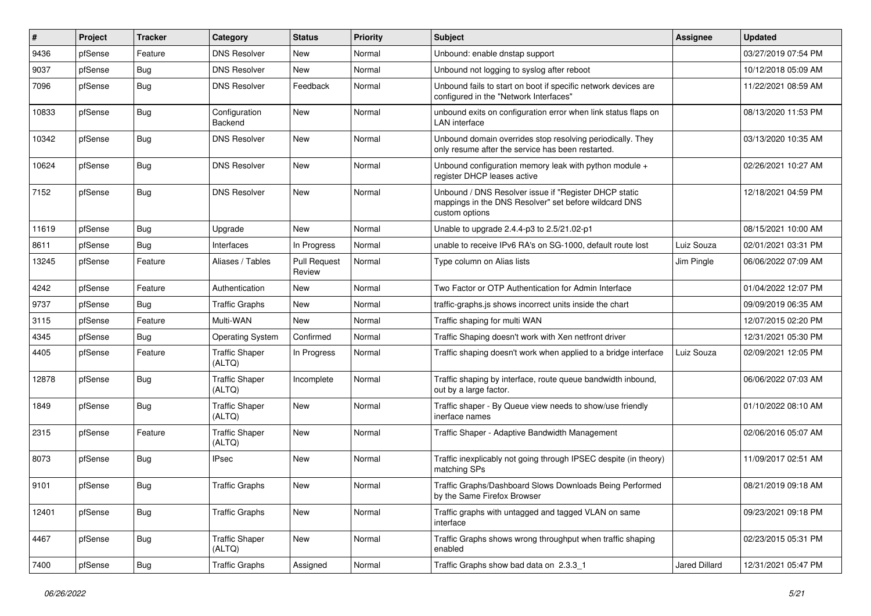| #     | Project | <b>Tracker</b> | Category                        | <b>Status</b>                 | <b>Priority</b> | <b>Subject</b>                                                                                                                   | Assignee      | <b>Updated</b>      |
|-------|---------|----------------|---------------------------------|-------------------------------|-----------------|----------------------------------------------------------------------------------------------------------------------------------|---------------|---------------------|
| 9436  | pfSense | Feature        | <b>DNS Resolver</b>             | New                           | Normal          | Unbound: enable dnstap support                                                                                                   |               | 03/27/2019 07:54 PM |
| 9037  | pfSense | Bug            | <b>DNS Resolver</b>             | <b>New</b>                    | Normal          | Unbound not logging to syslog after reboot                                                                                       |               | 10/12/2018 05:09 AM |
| 7096  | pfSense | <b>Bug</b>     | <b>DNS Resolver</b>             | Feedback                      | Normal          | Unbound fails to start on boot if specific network devices are<br>configured in the "Network Interfaces"                         |               | 11/22/2021 08:59 AM |
| 10833 | pfSense | Bug            | Configuration<br>Backend        | <b>New</b>                    | Normal          | unbound exits on configuration error when link status flaps on<br>LAN interface                                                  |               | 08/13/2020 11:53 PM |
| 10342 | pfSense | Bug            | <b>DNS Resolver</b>             | New                           | Normal          | Unbound domain overrides stop resolving periodically. They<br>only resume after the service has been restarted.                  |               | 03/13/2020 10:35 AM |
| 10624 | pfSense | Bug            | <b>DNS Resolver</b>             | <b>New</b>                    | Normal          | Unbound configuration memory leak with python module +<br>register DHCP leases active                                            |               | 02/26/2021 10:27 AM |
| 7152  | pfSense | Bug            | <b>DNS Resolver</b>             | New                           | Normal          | Unbound / DNS Resolver issue if "Register DHCP static<br>mappings in the DNS Resolver" set before wildcard DNS<br>custom options |               | 12/18/2021 04:59 PM |
| 11619 | pfSense | Bug            | Upgrade                         | <b>New</b>                    | Normal          | Unable to upgrade 2.4.4-p3 to 2.5/21.02-p1                                                                                       |               | 08/15/2021 10:00 AM |
| 8611  | pfSense | Bug            | Interfaces                      | In Progress                   | Normal          | unable to receive IPv6 RA's on SG-1000, default route lost                                                                       | Luiz Souza    | 02/01/2021 03:31 PM |
| 13245 | pfSense | Feature        | Aliases / Tables                | <b>Pull Request</b><br>Review | Normal          | Type column on Alias lists                                                                                                       | Jim Pingle    | 06/06/2022 07:09 AM |
| 4242  | pfSense | Feature        | Authentication                  | <b>New</b>                    | Normal          | Two Factor or OTP Authentication for Admin Interface                                                                             |               | 01/04/2022 12:07 PM |
| 9737  | pfSense | Bug            | <b>Traffic Graphs</b>           | <b>New</b>                    | Normal          | traffic-graphs.js shows incorrect units inside the chart                                                                         |               | 09/09/2019 06:35 AM |
| 3115  | pfSense | Feature        | Multi-WAN                       | New                           | Normal          | Traffic shaping for multi WAN                                                                                                    |               | 12/07/2015 02:20 PM |
| 4345  | pfSense | Bug            | <b>Operating System</b>         | Confirmed                     | Normal          | Traffic Shaping doesn't work with Xen netfront driver                                                                            |               | 12/31/2021 05:30 PM |
| 4405  | pfSense | Feature        | <b>Traffic Shaper</b><br>(ALTQ) | In Progress                   | Normal          | Traffic shaping doesn't work when applied to a bridge interface                                                                  | Luiz Souza    | 02/09/2021 12:05 PM |
| 12878 | pfSense | <b>Bug</b>     | <b>Traffic Shaper</b><br>(ALTQ) | Incomplete                    | Normal          | Traffic shaping by interface, route queue bandwidth inbound,<br>out by a large factor.                                           |               | 06/06/2022 07:03 AM |
| 1849  | pfSense | Bug            | <b>Traffic Shaper</b><br>(ALTQ) | <b>New</b>                    | Normal          | Traffic shaper - By Queue view needs to show/use friendly<br>inerface names                                                      |               | 01/10/2022 08:10 AM |
| 2315  | pfSense | Feature        | <b>Traffic Shaper</b><br>(ALTQ) | <b>New</b>                    | Normal          | Traffic Shaper - Adaptive Bandwidth Management                                                                                   |               | 02/06/2016 05:07 AM |
| 8073  | pfSense | Bug            | <b>IPsec</b>                    | <b>New</b>                    | Normal          | Traffic inexplicably not going through IPSEC despite (in theory)<br>matching SPs                                                 |               | 11/09/2017 02:51 AM |
| 9101  | pfSense | Bug            | <b>Traffic Graphs</b>           | New                           | Normal          | Traffic Graphs/Dashboard Slows Downloads Being Performed<br>by the Same Firefox Browser                                          |               | 08/21/2019 09:18 AM |
| 12401 | pfSense | Bug            | <b>Traffic Graphs</b>           | New                           | Normal          | Traffic graphs with untagged and tagged VLAN on same<br>interface                                                                |               | 09/23/2021 09:18 PM |
| 4467  | pfSense | Bug            | <b>Traffic Shaper</b><br>(ALTQ) | New                           | Normal          | Traffic Graphs shows wrong throughput when traffic shaping<br>enabled                                                            |               | 02/23/2015 05:31 PM |
| 7400  | pfSense | Bug            | <b>Traffic Graphs</b>           | Assigned                      | Normal          | Traffic Graphs show bad data on 2.3.3 1                                                                                          | Jared Dillard | 12/31/2021 05:47 PM |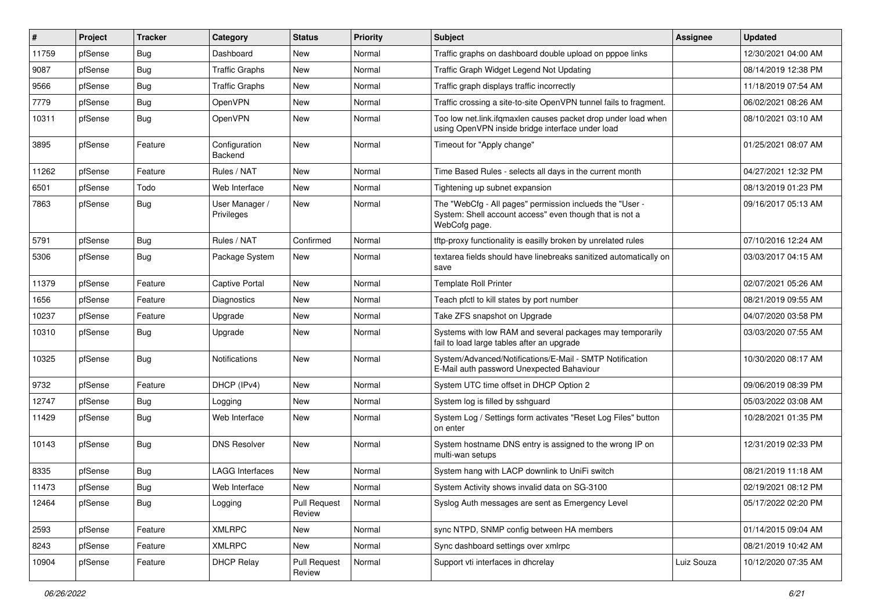| #     | Project | <b>Tracker</b> | Category                     | <b>Status</b>                 | <b>Priority</b> | Subject                                                                                                                              | Assignee   | <b>Updated</b>      |
|-------|---------|----------------|------------------------------|-------------------------------|-----------------|--------------------------------------------------------------------------------------------------------------------------------------|------------|---------------------|
| 11759 | pfSense | Bug            | Dashboard                    | <b>New</b>                    | Normal          | Traffic graphs on dashboard double upload on pppoe links                                                                             |            | 12/30/2021 04:00 AM |
| 9087  | pfSense | Bug            | <b>Traffic Graphs</b>        | <b>New</b>                    | Normal          | Traffic Graph Widget Legend Not Updating                                                                                             |            | 08/14/2019 12:38 PM |
| 9566  | pfSense | Bug            | <b>Traffic Graphs</b>        | New                           | Normal          | Traffic graph displays traffic incorrectly                                                                                           |            | 11/18/2019 07:54 AM |
| 7779  | pfSense | Bug            | OpenVPN                      | New                           | Normal          | Traffic crossing a site-to-site OpenVPN tunnel fails to fragment.                                                                    |            | 06/02/2021 08:26 AM |
| 10311 | pfSense | <b>Bug</b>     | OpenVPN                      | <b>New</b>                    | Normal          | Too low net.link.ifqmaxlen causes packet drop under load when<br>using OpenVPN inside bridge interface under load                    |            | 08/10/2021 03:10 AM |
| 3895  | pfSense | Feature        | Configuration<br>Backend     | <b>New</b>                    | Normal          | Timeout for "Apply change"                                                                                                           |            | 01/25/2021 08:07 AM |
| 11262 | pfSense | Feature        | Rules / NAT                  | <b>New</b>                    | Normal          | Time Based Rules - selects all days in the current month                                                                             |            | 04/27/2021 12:32 PM |
| 6501  | pfSense | Todo           | Web Interface                | <b>New</b>                    | Normal          | Tightening up subnet expansion                                                                                                       |            | 08/13/2019 01:23 PM |
| 7863  | pfSense | Bug            | User Manager /<br>Privileges | <b>New</b>                    | Normal          | The "WebCfg - All pages" permission inclueds the "User -<br>System: Shell account access" even though that is not a<br>WebCofg page. |            | 09/16/2017 05:13 AM |
| 5791  | pfSense | <b>Bug</b>     | Rules / NAT                  | Confirmed                     | Normal          | tftp-proxy functionality is easilly broken by unrelated rules                                                                        |            | 07/10/2016 12:24 AM |
| 5306  | pfSense | Bug            | Package System               | New                           | Normal          | textarea fields should have linebreaks sanitized automatically on<br>save                                                            |            | 03/03/2017 04:15 AM |
| 11379 | pfSense | Feature        | <b>Captive Portal</b>        | New                           | Normal          | <b>Template Roll Printer</b>                                                                                                         |            | 02/07/2021 05:26 AM |
| 1656  | pfSense | Feature        | Diagnostics                  | New                           | Normal          | Teach pfctl to kill states by port number                                                                                            |            | 08/21/2019 09:55 AM |
| 10237 | pfSense | Feature        | Upgrade                      | <b>New</b>                    | Normal          | Take ZFS snapshot on Upgrade                                                                                                         |            | 04/07/2020 03:58 PM |
| 10310 | pfSense | Bug            | Upgrade                      | New                           | Normal          | Systems with low RAM and several packages may temporarily<br>fail to load large tables after an upgrade                              |            | 03/03/2020 07:55 AM |
| 10325 | pfSense | Bug            | <b>Notifications</b>         | <b>New</b>                    | Normal          | System/Advanced/Notifications/E-Mail - SMTP Notification<br>E-Mail auth password Unexpected Bahaviour                                |            | 10/30/2020 08:17 AM |
| 9732  | pfSense | Feature        | DHCP (IPv4)                  | <b>New</b>                    | Normal          | System UTC time offset in DHCP Option 2                                                                                              |            | 09/06/2019 08:39 PM |
| 12747 | pfSense | Bug            | Logging                      | New                           | Normal          | System log is filled by sshguard                                                                                                     |            | 05/03/2022 03:08 AM |
| 11429 | pfSense | <b>Bug</b>     | Web Interface                | New                           | Normal          | System Log / Settings form activates "Reset Log Files" button<br>on enter                                                            |            | 10/28/2021 01:35 PM |
| 10143 | pfSense | Bug            | <b>DNS Resolver</b>          | <b>New</b>                    | Normal          | System hostname DNS entry is assigned to the wrong IP on<br>multi-wan setups                                                         |            | 12/31/2019 02:33 PM |
| 8335  | pfSense | <b>Bug</b>     | LAGG Interfaces              | <b>New</b>                    | Normal          | System hang with LACP downlink to UniFi switch                                                                                       |            | 08/21/2019 11:18 AM |
| 11473 | pfSense | I Bug          | Web Interface                | New                           | Normal          | System Activity shows invalid data on SG-3100                                                                                        |            | 02/19/2021 08:12 PM |
| 12464 | pfSense | Bug            | Logging                      | Pull Request<br>Review        | Normal          | Syslog Auth messages are sent as Emergency Level                                                                                     |            | 05/17/2022 02:20 PM |
| 2593  | pfSense | Feature        | <b>XMLRPC</b>                | New                           | Normal          | sync NTPD, SNMP config between HA members                                                                                            |            | 01/14/2015 09:04 AM |
| 8243  | pfSense | Feature        | <b>XMLRPC</b>                | New                           | Normal          | Sync dashboard settings over xmlrpc                                                                                                  |            | 08/21/2019 10:42 AM |
| 10904 | pfSense | Feature        | <b>DHCP Relay</b>            | <b>Pull Request</b><br>Review | Normal          | Support vti interfaces in dhcrelay                                                                                                   | Luiz Souza | 10/12/2020 07:35 AM |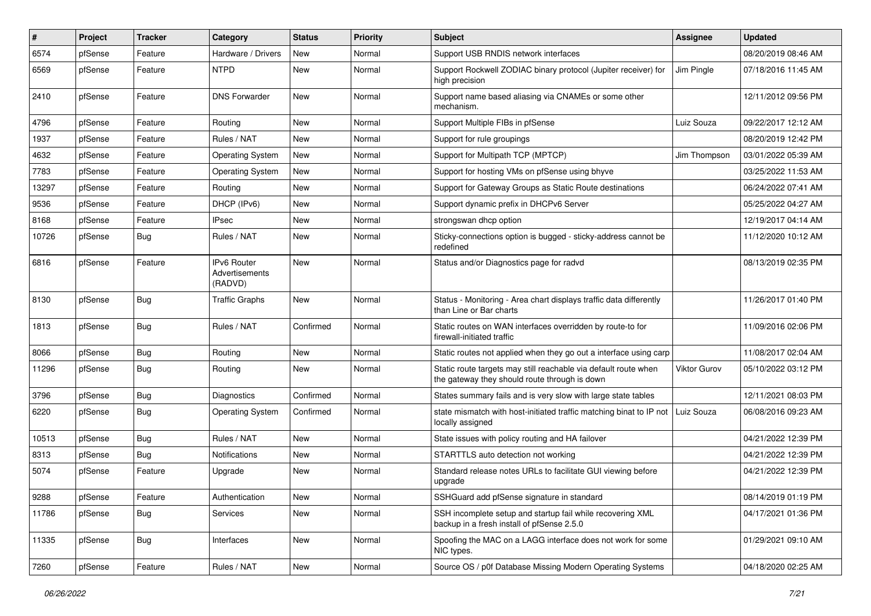| #     | Project | <b>Tracker</b> | Category                                               | <b>Status</b> | <b>Priority</b> | Subject                                                                                                          | <b>Assignee</b> | <b>Updated</b>      |
|-------|---------|----------------|--------------------------------------------------------|---------------|-----------------|------------------------------------------------------------------------------------------------------------------|-----------------|---------------------|
| 6574  | pfSense | Feature        | Hardware / Drivers                                     | New           | Normal          | Support USB RNDIS network interfaces                                                                             |                 | 08/20/2019 08:46 AM |
| 6569  | pfSense | Feature        | <b>NTPD</b>                                            | <b>New</b>    | Normal          | Support Rockwell ZODIAC binary protocol (Jupiter receiver) for<br>high precision                                 | Jim Pingle      | 07/18/2016 11:45 AM |
| 2410  | pfSense | Feature        | <b>DNS Forwarder</b>                                   | <b>New</b>    | Normal          | Support name based aliasing via CNAMEs or some other<br>mechanism.                                               |                 | 12/11/2012 09:56 PM |
| 4796  | pfSense | Feature        | Routing                                                | New           | Normal          | Support Multiple FIBs in pfSense                                                                                 | Luiz Souza      | 09/22/2017 12:12 AM |
| 1937  | pfSense | Feature        | Rules / NAT                                            | New           | Normal          | Support for rule groupings                                                                                       |                 | 08/20/2019 12:42 PM |
| 4632  | pfSense | Feature        | <b>Operating System</b>                                | <b>New</b>    | Normal          | Support for Multipath TCP (MPTCP)                                                                                | Jim Thompson    | 03/01/2022 05:39 AM |
| 7783  | pfSense | Feature        | <b>Operating System</b>                                | New           | Normal          | Support for hosting VMs on pfSense using bhyve                                                                   |                 | 03/25/2022 11:53 AM |
| 13297 | pfSense | Feature        | Routing                                                | <b>New</b>    | Normal          | Support for Gateway Groups as Static Route destinations                                                          |                 | 06/24/2022 07:41 AM |
| 9536  | pfSense | Feature        | DHCP (IPv6)                                            | New           | Normal          | Support dynamic prefix in DHCPv6 Server                                                                          |                 | 05/25/2022 04:27 AM |
| 8168  | pfSense | Feature        | <b>IPsec</b>                                           | New           | Normal          | strongswan dhcp option                                                                                           |                 | 12/19/2017 04:14 AM |
| 10726 | pfSense | <b>Bug</b>     | Rules / NAT                                            | <b>New</b>    | Normal          | Sticky-connections option is bugged - sticky-address cannot be<br>redefined                                      |                 | 11/12/2020 10:12 AM |
| 6816  | pfSense | Feature        | <b>IPv6 Router</b><br><b>Advertisements</b><br>(RADVD) | <b>New</b>    | Normal          | Status and/or Diagnostics page for radvd                                                                         |                 | 08/13/2019 02:35 PM |
| 8130  | pfSense | Bug            | <b>Traffic Graphs</b>                                  | New           | Normal          | Status - Monitoring - Area chart displays traffic data differently<br>than Line or Bar charts                    |                 | 11/26/2017 01:40 PM |
| 1813  | pfSense | Bug            | Rules / NAT                                            | Confirmed     | Normal          | Static routes on WAN interfaces overridden by route-to for<br>firewall-initiated traffic                         |                 | 11/09/2016 02:06 PM |
| 8066  | pfSense | Bug            | Routing                                                | New           | Normal          | Static routes not applied when they go out a interface using carp                                                |                 | 11/08/2017 02:04 AM |
| 11296 | pfSense | Bug            | Routing                                                | New           | Normal          | Static route targets may still reachable via default route when<br>the gateway they should route through is down | Viktor Gurov    | 05/10/2022 03:12 PM |
| 3796  | pfSense | Bug            | <b>Diagnostics</b>                                     | Confirmed     | Normal          | States summary fails and is very slow with large state tables                                                    |                 | 12/11/2021 08:03 PM |
| 6220  | pfSense | <b>Bug</b>     | <b>Operating System</b>                                | Confirmed     | Normal          | state mismatch with host-initiated traffic matching binat to IP not<br>locally assigned                          | Luiz Souza      | 06/08/2016 09:23 AM |
| 10513 | pfSense | Bug            | Rules / NAT                                            | <b>New</b>    | Normal          | State issues with policy routing and HA failover                                                                 |                 | 04/21/2022 12:39 PM |
| 8313  | pfSense | <b>Bug</b>     | <b>Notifications</b>                                   | New           | Normal          | STARTTLS auto detection not working                                                                              |                 | 04/21/2022 12:39 PM |
| 5074  | pfSense | Feature        | Upgrade                                                | New           | Normal          | Standard release notes URLs to facilitate GUI viewing before<br>upgrade                                          |                 | 04/21/2022 12:39 PM |
| 9288  | pfSense | Feature        | Authentication                                         | New           | Normal          | SSHGuard add pfSense signature in standard                                                                       |                 | 08/14/2019 01:19 PM |
| 11786 | pfSense | Bug            | <b>Services</b>                                        | New           | Normal          | SSH incomplete setup and startup fail while recovering XML<br>backup in a fresh install of pfSense 2.5.0         |                 | 04/17/2021 01:36 PM |
| 11335 | pfSense | Bug            | Interfaces                                             | New           | Normal          | Spoofing the MAC on a LAGG interface does not work for some<br>NIC types.                                        |                 | 01/29/2021 09:10 AM |
| 7260  | pfSense | Feature        | Rules / NAT                                            | New           | Normal          | Source OS / p0f Database Missing Modern Operating Systems                                                        |                 | 04/18/2020 02:25 AM |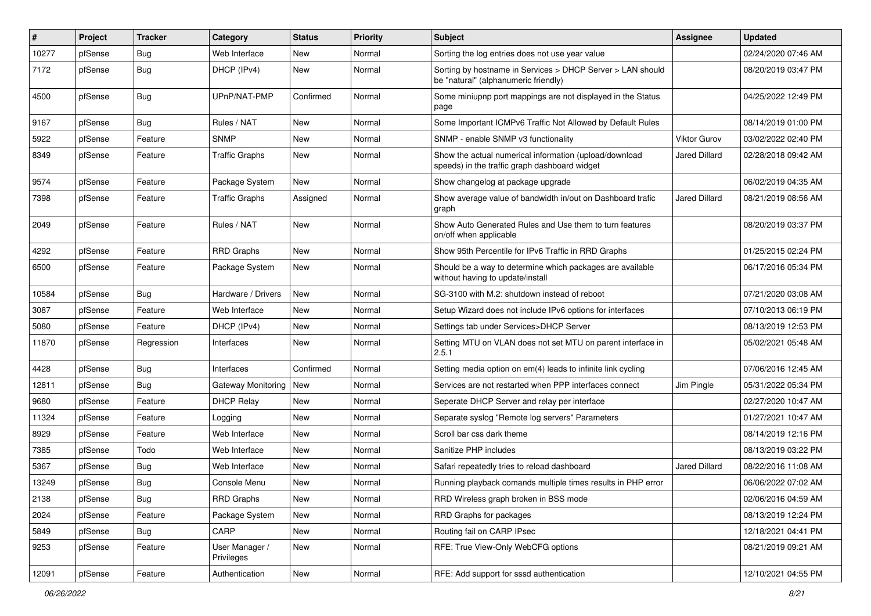| #     | Project | <b>Tracker</b> | Category                     | <b>Status</b> | <b>Priority</b> | <b>Subject</b>                                                                                          | <b>Assignee</b>      | <b>Updated</b>      |
|-------|---------|----------------|------------------------------|---------------|-----------------|---------------------------------------------------------------------------------------------------------|----------------------|---------------------|
| 10277 | pfSense | <b>Bug</b>     | Web Interface                | New           | Normal          | Sorting the log entries does not use year value                                                         |                      | 02/24/2020 07:46 AM |
| 7172  | pfSense | Bug            | DHCP (IPv4)                  | <b>New</b>    | Normal          | Sorting by hostname in Services > DHCP Server > LAN should<br>be "natural" (alphanumeric friendly)      |                      | 08/20/2019 03:47 PM |
| 4500  | pfSense | Bug            | UPnP/NAT-PMP                 | Confirmed     | Normal          | Some miniupnp port mappings are not displayed in the Status<br>page                                     |                      | 04/25/2022 12:49 PM |
| 9167  | pfSense | Bug            | Rules / NAT                  | New           | Normal          | Some Important ICMPv6 Traffic Not Allowed by Default Rules                                              |                      | 08/14/2019 01:00 PM |
| 5922  | pfSense | Feature        | <b>SNMP</b>                  | New           | Normal          | SNMP - enable SNMP v3 functionality                                                                     | <b>Viktor Gurov</b>  | 03/02/2022 02:40 PM |
| 8349  | pfSense | Feature        | Traffic Graphs               | <b>New</b>    | Normal          | Show the actual numerical information (upload/download<br>speeds) in the traffic graph dashboard widget | Jared Dillard        | 02/28/2018 09:42 AM |
| 9574  | pfSense | Feature        | Package System               | New           | Normal          | Show changelog at package upgrade                                                                       |                      | 06/02/2019 04:35 AM |
| 7398  | pfSense | Feature        | <b>Traffic Graphs</b>        | Assigned      | Normal          | Show average value of bandwidth in/out on Dashboard trafic<br>graph                                     | <b>Jared Dillard</b> | 08/21/2019 08:56 AM |
| 2049  | pfSense | Feature        | Rules / NAT                  | <b>New</b>    | Normal          | Show Auto Generated Rules and Use them to turn features<br>on/off when applicable                       |                      | 08/20/2019 03:37 PM |
| 4292  | pfSense | Feature        | <b>RRD Graphs</b>            | <b>New</b>    | Normal          | Show 95th Percentile for IPv6 Traffic in RRD Graphs                                                     |                      | 01/25/2015 02:24 PM |
| 6500  | pfSense | Feature        | Package System               | <b>New</b>    | Normal          | Should be a way to determine which packages are available<br>without having to update/install           |                      | 06/17/2016 05:34 PM |
| 10584 | pfSense | Bug            | Hardware / Drivers           | <b>New</b>    | Normal          | SG-3100 with M.2: shutdown instead of reboot                                                            |                      | 07/21/2020 03:08 AM |
| 3087  | pfSense | Feature        | Web Interface                | <b>New</b>    | Normal          | Setup Wizard does not include IPv6 options for interfaces                                               |                      | 07/10/2013 06:19 PM |
| 5080  | pfSense | Feature        | DHCP (IPv4)                  | New           | Normal          | Settings tab under Services>DHCP Server                                                                 |                      | 08/13/2019 12:53 PM |
| 11870 | pfSense | Regression     | Interfaces                   | <b>New</b>    | Normal          | Setting MTU on VLAN does not set MTU on parent interface in<br>2.5.1                                    |                      | 05/02/2021 05:48 AM |
| 4428  | pfSense | Bug            | Interfaces                   | Confirmed     | Normal          | Setting media option on em(4) leads to infinite link cycling                                            |                      | 07/06/2016 12:45 AM |
| 12811 | pfSense | Bug            | <b>Gateway Monitoring</b>    | New           | Normal          | Services are not restarted when PPP interfaces connect                                                  | Jim Pingle           | 05/31/2022 05:34 PM |
| 9680  | pfSense | Feature        | <b>DHCP Relay</b>            | New           | Normal          | Seperate DHCP Server and relay per interface                                                            |                      | 02/27/2020 10:47 AM |
| 11324 | pfSense | Feature        | Logging                      | <b>New</b>    | Normal          | Separate syslog "Remote log servers" Parameters                                                         |                      | 01/27/2021 10:47 AM |
| 8929  | pfSense | Feature        | Web Interface                | New           | Normal          | Scroll bar css dark theme                                                                               |                      | 08/14/2019 12:16 PM |
| 7385  | pfSense | Todo           | Web Interface                | <b>New</b>    | Normal          | Sanitize PHP includes                                                                                   |                      | 08/13/2019 03:22 PM |
| 5367  | pfSense | Bug            | Web Interface                | New           | Normal          | Safari repeatedly tries to reload dashboard                                                             | <b>Jared Dillard</b> | 08/22/2016 11:08 AM |
| 13249 | pfSense | <b>Bug</b>     | Console Menu                 | New           | Normal          | Running playback comands multiple times results in PHP error                                            |                      | 06/06/2022 07:02 AM |
| 2138  | pfSense | <b>Bug</b>     | RRD Graphs                   | New           | Normal          | RRD Wireless graph broken in BSS mode                                                                   |                      | 02/06/2016 04:59 AM |
| 2024  | pfSense | Feature        | Package System               | <b>New</b>    | Normal          | RRD Graphs for packages                                                                                 |                      | 08/13/2019 12:24 PM |
| 5849  | pfSense | Bug            | CARP                         | New           | Normal          | Routing fail on CARP IPsec                                                                              |                      | 12/18/2021 04:41 PM |
| 9253  | pfSense | Feature        | User Manager /<br>Privileges | New           | Normal          | RFE: True View-Only WebCFG options                                                                      |                      | 08/21/2019 09:21 AM |
| 12091 | pfSense | Feature        | Authentication               | New           | Normal          | RFE: Add support for sssd authentication                                                                |                      | 12/10/2021 04:55 PM |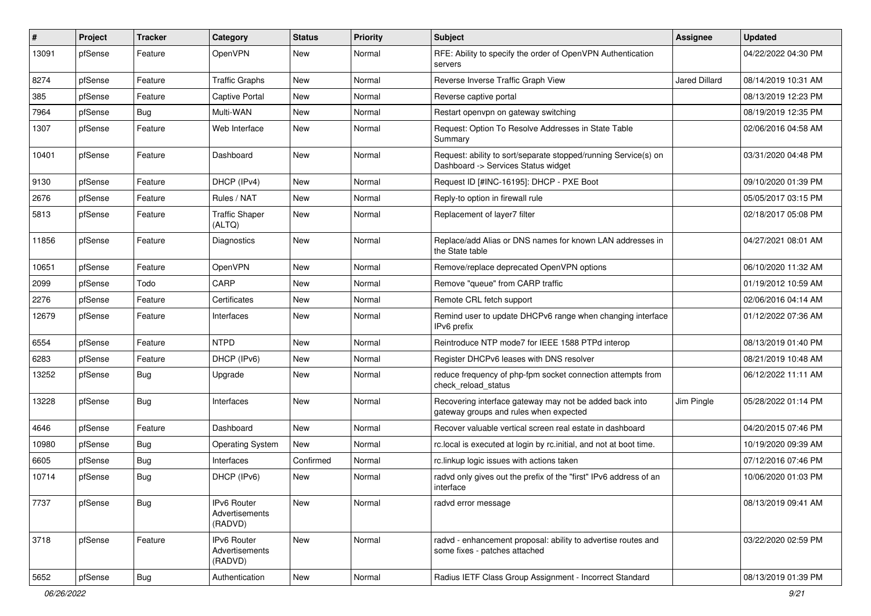| ∦     | Project | <b>Tracker</b> | Category                                 | <b>Status</b> | <b>Priority</b> | <b>Subject</b>                                                                                         | <b>Assignee</b>      | <b>Updated</b>      |
|-------|---------|----------------|------------------------------------------|---------------|-----------------|--------------------------------------------------------------------------------------------------------|----------------------|---------------------|
| 13091 | pfSense | Feature        | OpenVPN                                  | New           | Normal          | RFE: Ability to specify the order of OpenVPN Authentication<br>servers                                 |                      | 04/22/2022 04:30 PM |
| 8274  | pfSense | Feature        | <b>Traffic Graphs</b>                    | New           | Normal          | Reverse Inverse Traffic Graph View                                                                     | <b>Jared Dillard</b> | 08/14/2019 10:31 AM |
| 385   | pfSense | Feature        | <b>Captive Portal</b>                    | New           | Normal          | Reverse captive portal                                                                                 |                      | 08/13/2019 12:23 PM |
| 7964  | pfSense | Bug            | Multi-WAN                                | <b>New</b>    | Normal          | Restart openvpn on gateway switching                                                                   |                      | 08/19/2019 12:35 PM |
| 1307  | pfSense | Feature        | Web Interface                            | New           | Normal          | Request: Option To Resolve Addresses in State Table<br>Summary                                         |                      | 02/06/2016 04:58 AM |
| 10401 | pfSense | Feature        | Dashboard                                | New           | Normal          | Request: ability to sort/separate stopped/running Service(s) on<br>Dashboard -> Services Status widget |                      | 03/31/2020 04:48 PM |
| 9130  | pfSense | Feature        | DHCP (IPv4)                              | New           | Normal          | Request ID [#INC-16195]: DHCP - PXE Boot                                                               |                      | 09/10/2020 01:39 PM |
| 2676  | pfSense | Feature        | Rules / NAT                              | New           | Normal          | Reply-to option in firewall rule                                                                       |                      | 05/05/2017 03:15 PM |
| 5813  | pfSense | Feature        | <b>Traffic Shaper</b><br>(ALTQ)          | New           | Normal          | Replacement of layer7 filter                                                                           |                      | 02/18/2017 05:08 PM |
| 11856 | pfSense | Feature        | Diagnostics                              | New           | Normal          | Replace/add Alias or DNS names for known LAN addresses in<br>the State table                           |                      | 04/27/2021 08:01 AM |
| 10651 | pfSense | Feature        | OpenVPN                                  | <b>New</b>    | Normal          | Remove/replace deprecated OpenVPN options                                                              |                      | 06/10/2020 11:32 AM |
| 2099  | pfSense | Todo           | CARP                                     | New           | Normal          | Remove "queue" from CARP traffic                                                                       |                      | 01/19/2012 10:59 AM |
| 2276  | pfSense | Feature        | Certificates                             | New           | Normal          | Remote CRL fetch support                                                                               |                      | 02/06/2016 04:14 AM |
| 12679 | pfSense | Feature        | Interfaces                               | New           | Normal          | Remind user to update DHCPv6 range when changing interface<br>IPv6 prefix                              |                      | 01/12/2022 07:36 AM |
| 6554  | pfSense | Feature        | <b>NTPD</b>                              | <b>New</b>    | Normal          | Reintroduce NTP mode7 for IEEE 1588 PTPd interop                                                       |                      | 08/13/2019 01:40 PM |
| 6283  | pfSense | Feature        | DHCP (IPv6)                              | New           | Normal          | Register DHCPv6 leases with DNS resolver                                                               |                      | 08/21/2019 10:48 AM |
| 13252 | pfSense | Bug            | Upgrade                                  | New           | Normal          | reduce frequency of php-fpm socket connection attempts from<br>check reload status                     |                      | 06/12/2022 11:11 AM |
| 13228 | pfSense | Bug            | Interfaces                               | New           | Normal          | Recovering interface gateway may not be added back into<br>gateway groups and rules when expected      | Jim Pingle           | 05/28/2022 01:14 PM |
| 4646  | pfSense | Feature        | Dashboard                                | <b>New</b>    | Normal          | Recover valuable vertical screen real estate in dashboard                                              |                      | 04/20/2015 07:46 PM |
| 10980 | pfSense | Bug            | <b>Operating System</b>                  | New           | Normal          | rc.local is executed at login by rc.initial, and not at boot time.                                     |                      | 10/19/2020 09:39 AM |
| 6605  | pfSense | Bug            | Interfaces                               | Confirmed     | Normal          | rc.linkup logic issues with actions taken                                                              |                      | 07/12/2016 07:46 PM |
| 10714 | pfSense | Bug            | DHCP (IPv6)                              | New           | Normal          | radyd only gives out the prefix of the "first" IPv6 address of an<br>interface                         |                      | 10/06/2020 01:03 PM |
| 7737  | pfSense | <b>Bug</b>     | IPv6 Router<br>Advertisements<br>(RADVD) | New           | Normal          | radvd error message                                                                                    |                      | 08/13/2019 09:41 AM |
| 3718  | pfSense | Feature        | IPv6 Router<br>Advertisements<br>(RADVD) | New           | Normal          | radvd - enhancement proposal: ability to advertise routes and<br>some fixes - patches attached         |                      | 03/22/2020 02:59 PM |
| 5652  | pfSense | <b>Bug</b>     | Authentication                           | New           | Normal          | Radius IETF Class Group Assignment - Incorrect Standard                                                |                      | 08/13/2019 01:39 PM |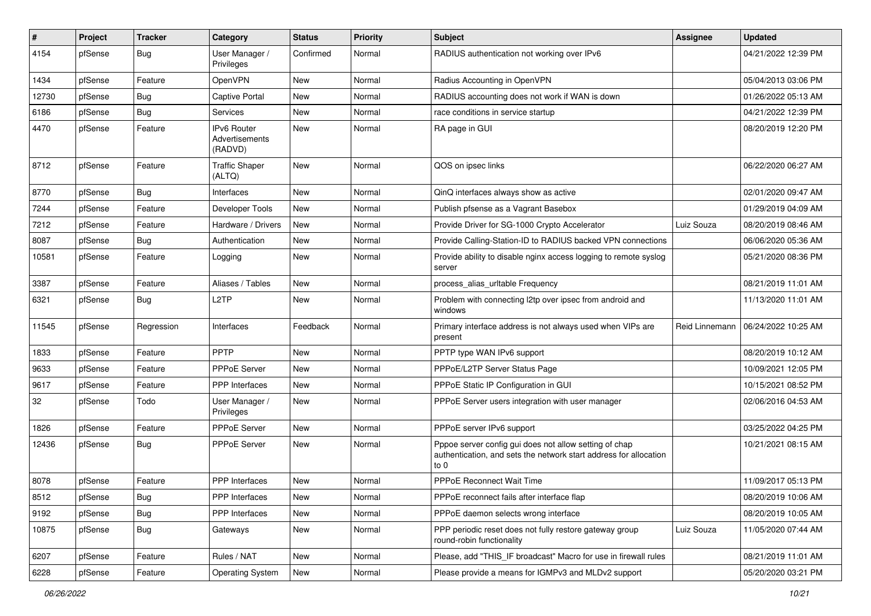| $\vert$ # | Project | <b>Tracker</b> | Category                                        | <b>Status</b> | <b>Priority</b> | Subject                                                                                                                             | Assignee       | <b>Updated</b>      |
|-----------|---------|----------------|-------------------------------------------------|---------------|-----------------|-------------------------------------------------------------------------------------------------------------------------------------|----------------|---------------------|
| 4154      | pfSense | Bug            | User Manager /<br>Privileges                    | Confirmed     | Normal          | RADIUS authentication not working over IPv6                                                                                         |                | 04/21/2022 12:39 PM |
| 1434      | pfSense | Feature        | OpenVPN                                         | New           | Normal          | Radius Accounting in OpenVPN                                                                                                        |                | 05/04/2013 03:06 PM |
| 12730     | pfSense | Bug            | <b>Captive Portal</b>                           | New           | Normal          | RADIUS accounting does not work if WAN is down                                                                                      |                | 01/26/2022 05:13 AM |
| 6186      | pfSense | <b>Bug</b>     | Services                                        | New           | Normal          | race conditions in service startup                                                                                                  |                | 04/21/2022 12:39 PM |
| 4470      | pfSense | Feature        | <b>IPv6 Router</b><br>Advertisements<br>(RADVD) | New           | Normal          | RA page in GUI                                                                                                                      |                | 08/20/2019 12:20 PM |
| 8712      | pfSense | Feature        | <b>Traffic Shaper</b><br>(ALTQ)                 | New           | Normal          | QOS on ipsec links                                                                                                                  |                | 06/22/2020 06:27 AM |
| 8770      | pfSense | Bug            | Interfaces                                      | New           | Normal          | QinQ interfaces always show as active                                                                                               |                | 02/01/2020 09:47 AM |
| 7244      | pfSense | Feature        | Developer Tools                                 | New           | Normal          | Publish pfsense as a Vagrant Basebox                                                                                                |                | 01/29/2019 04:09 AM |
| 7212      | pfSense | Feature        | Hardware / Drivers                              | New           | Normal          | Provide Driver for SG-1000 Crypto Accelerator                                                                                       | Luiz Souza     | 08/20/2019 08:46 AM |
| 8087      | pfSense | Bug            | Authentication                                  | New           | Normal          | Provide Calling-Station-ID to RADIUS backed VPN connections                                                                         |                | 06/06/2020 05:36 AM |
| 10581     | pfSense | Feature        | Logging                                         | New           | Normal          | Provide ability to disable nginx access logging to remote syslog<br>server                                                          |                | 05/21/2020 08:36 PM |
| 3387      | pfSense | Feature        | Aliases / Tables                                | New           | Normal          | process alias urltable Frequency                                                                                                    |                | 08/21/2019 11:01 AM |
| 6321      | pfSense | Bug            | L <sub>2</sub> TP                               | <b>New</b>    | Normal          | Problem with connecting I2tp over ipsec from android and<br>windows                                                                 |                | 11/13/2020 11:01 AM |
| 11545     | pfSense | Regression     | Interfaces                                      | Feedback      | Normal          | Primary interface address is not always used when VIPs are<br>present                                                               | Reid Linnemann | 06/24/2022 10:25 AM |
| 1833      | pfSense | Feature        | <b>PPTP</b>                                     | New           | Normal          | PPTP type WAN IPv6 support                                                                                                          |                | 08/20/2019 10:12 AM |
| 9633      | pfSense | Feature        | <b>PPPoE Server</b>                             | <b>New</b>    | Normal          | PPPoE/L2TP Server Status Page                                                                                                       |                | 10/09/2021 12:05 PM |
| 9617      | pfSense | Feature        | <b>PPP</b> Interfaces                           | <b>New</b>    | Normal          | PPPoE Static IP Configuration in GUI                                                                                                |                | 10/15/2021 08:52 PM |
| 32        | pfSense | Todo           | User Manager /<br>Privileges                    | New           | Normal          | PPPoE Server users integration with user manager                                                                                    |                | 02/06/2016 04:53 AM |
| 1826      | pfSense | Feature        | <b>PPPoE Server</b>                             | <b>New</b>    | Normal          | PPPoE server IPv6 support                                                                                                           |                | 03/25/2022 04:25 PM |
| 12436     | pfSense | Bug            | PPPoE Server                                    | New           | Normal          | Pppoe server config gui does not allow setting of chap<br>authentication, and sets the network start address for allocation<br>to 0 |                | 10/21/2021 08:15 AM |
| 8078      | pfSense | Feature        | PPP Interfaces                                  | <b>New</b>    | Normal          | <b>PPPoE Reconnect Wait Time</b>                                                                                                    |                | 11/09/2017 05:13 PM |
| 8512      | pfSense | Bug            | PPP Interfaces                                  | New           | Normal          | PPPoE reconnect fails after interface flap                                                                                          |                | 08/20/2019 10:06 AM |
| 9192      | pfSense | Bug            | <b>PPP</b> Interfaces                           | New           | Normal          | PPPoE daemon selects wrong interface                                                                                                |                | 08/20/2019 10:05 AM |
| 10875     | pfSense | <b>Bug</b>     | Gateways                                        | New           | Normal          | PPP periodic reset does not fully restore gateway group<br>round-robin functionality                                                | Luiz Souza     | 11/05/2020 07:44 AM |
| 6207      | pfSense | Feature        | Rules / NAT                                     | New           | Normal          | Please, add "THIS_IF broadcast" Macro for use in firewall rules                                                                     |                | 08/21/2019 11:01 AM |
| 6228      | pfSense | Feature        | <b>Operating System</b>                         | New           | Normal          | Please provide a means for IGMPv3 and MLDv2 support                                                                                 |                | 05/20/2020 03:21 PM |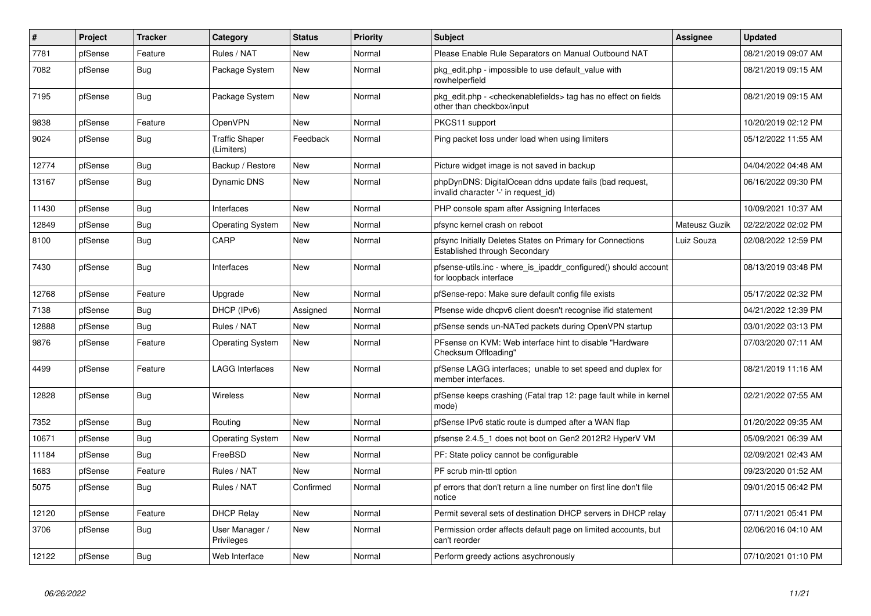| #     | Project | <b>Tracker</b> | Category                            | <b>Status</b> | Priority | <b>Subject</b>                                                                                  | <b>Assignee</b> | <b>Updated</b>      |
|-------|---------|----------------|-------------------------------------|---------------|----------|-------------------------------------------------------------------------------------------------|-----------------|---------------------|
| 7781  | pfSense | Feature        | Rules / NAT                         | <b>New</b>    | Normal   | Please Enable Rule Separators on Manual Outbound NAT                                            |                 | 08/21/2019 09:07 AM |
| 7082  | pfSense | Bug            | Package System                      | <b>New</b>    | Normal   | pkg edit.php - impossible to use default value with<br>rowhelperfield                           |                 | 08/21/2019 09:15 AM |
| 7195  | pfSense | Bug            | Package System                      | <b>New</b>    | Normal   | pkg_edit.php - < checkenablefields > tag has no effect on fields<br>other than checkbox/input   |                 | 08/21/2019 09:15 AM |
| 9838  | pfSense | Feature        | OpenVPN                             | <b>New</b>    | Normal   | PKCS11 support                                                                                  |                 | 10/20/2019 02:12 PM |
| 9024  | pfSense | Bug            | <b>Traffic Shaper</b><br>(Limiters) | Feedback      | Normal   | Ping packet loss under load when using limiters                                                 |                 | 05/12/2022 11:55 AM |
| 12774 | pfSense | Bug            | Backup / Restore                    | New           | Normal   | Picture widget image is not saved in backup                                                     |                 | 04/04/2022 04:48 AM |
| 13167 | pfSense | Bug            | <b>Dynamic DNS</b>                  | <b>New</b>    | Normal   | phpDynDNS: DigitalOcean ddns update fails (bad request,<br>invalid character '-' in request id) |                 | 06/16/2022 09:30 PM |
| 11430 | pfSense | Bug            | Interfaces                          | New           | Normal   | PHP console spam after Assigning Interfaces                                                     |                 | 10/09/2021 10:37 AM |
| 12849 | pfSense | <b>Bug</b>     | <b>Operating System</b>             | <b>New</b>    | Normal   | pfsync kernel crash on reboot                                                                   | Mateusz Guzik   | 02/22/2022 02:02 PM |
| 8100  | pfSense | Bug            | CARP                                | <b>New</b>    | Normal   | pfsync Initially Deletes States on Primary for Connections<br>Established through Secondary     | Luiz Souza      | 02/08/2022 12:59 PM |
| 7430  | pfSense | <b>Bug</b>     | Interfaces                          | <b>New</b>    | Normal   | pfsense-utils.inc - where_is_ipaddr_configured() should account<br>for loopback interface       |                 | 08/13/2019 03:48 PM |
| 12768 | pfSense | Feature        | Upgrade                             | New           | Normal   | pfSense-repo: Make sure default config file exists                                              |                 | 05/17/2022 02:32 PM |
| 7138  | pfSense | Bug            | DHCP (IPv6)                         | Assigned      | Normal   | Pfsense wide dhcpv6 client doesn't recognise ifid statement                                     |                 | 04/21/2022 12:39 PM |
| 12888 | pfSense | Bug            | Rules / NAT                         | New           | Normal   | pfSense sends un-NATed packets during OpenVPN startup                                           |                 | 03/01/2022 03:13 PM |
| 9876  | pfSense | Feature        | <b>Operating System</b>             | <b>New</b>    | Normal   | PFsense on KVM: Web interface hint to disable "Hardware<br>Checksum Offloading"                 |                 | 07/03/2020 07:11 AM |
| 4499  | pfSense | Feature        | <b>LAGG Interfaces</b>              | <b>New</b>    | Normal   | pfSense LAGG interfaces; unable to set speed and duplex for<br>member interfaces.               |                 | 08/21/2019 11:16 AM |
| 12828 | pfSense | Bug            | <b>Wireless</b>                     | <b>New</b>    | Normal   | pfSense keeps crashing (Fatal trap 12: page fault while in kernel<br>mode)                      |                 | 02/21/2022 07:55 AM |
| 7352  | pfSense | Bug            | Routing                             | <b>New</b>    | Normal   | pfSense IPv6 static route is dumped after a WAN flap                                            |                 | 01/20/2022 09:35 AM |
| 10671 | pfSense | Bug            | <b>Operating System</b>             | <b>New</b>    | Normal   | pfsense 2.4.5 1 does not boot on Gen2 2012R2 HyperV VM                                          |                 | 05/09/2021 06:39 AM |
| 11184 | pfSense | Bug            | FreeBSD                             | <b>New</b>    | Normal   | PF: State policy cannot be configurable                                                         |                 | 02/09/2021 02:43 AM |
| 1683  | pfSense | Feature        | Rules / NAT                         | New           | Normal   | PF scrub min-ttl option                                                                         |                 | 09/23/2020 01:52 AM |
| 5075  | pfSense | <b>Bug</b>     | Rules / NAT                         | Confirmed     | Normal   | pf errors that don't return a line number on first line don't file<br>notice                    |                 | 09/01/2015 06:42 PM |
| 12120 | pfSense | Feature        | <b>DHCP Relay</b>                   | <b>New</b>    | Normal   | Permit several sets of destination DHCP servers in DHCP relay                                   |                 | 07/11/2021 05:41 PM |
| 3706  | pfSense | Bug            | User Manager /<br>Privileges        | New           | Normal   | Permission order affects default page on limited accounts, but<br>can't reorder                 |                 | 02/06/2016 04:10 AM |
| 12122 | pfSense | Bug            | Web Interface                       | New           | Normal   | Perform greedy actions asychronously                                                            |                 | 07/10/2021 01:10 PM |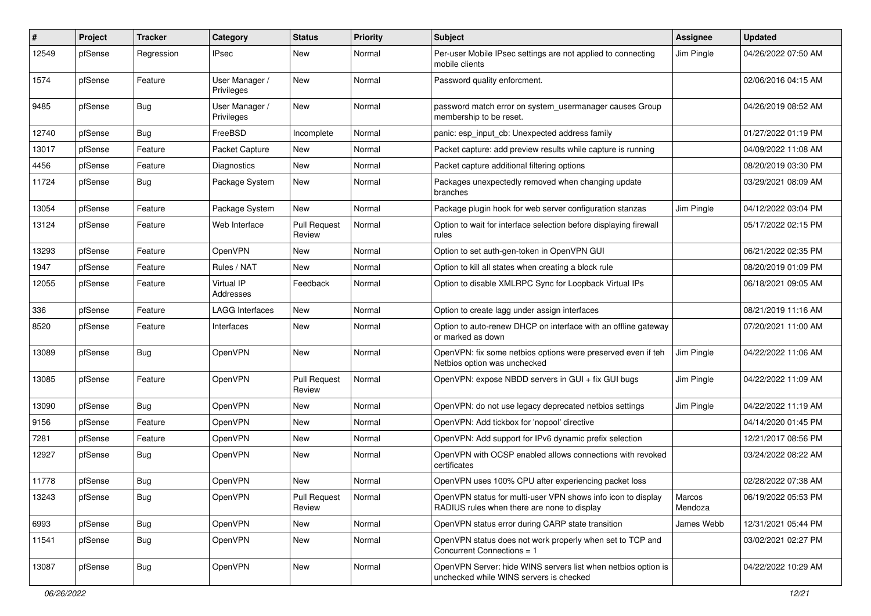| #     | Project | <b>Tracker</b> | Category                     | <b>Status</b>                 | <b>Priority</b> | <b>Subject</b>                                                                                              | <b>Assignee</b>   | <b>Updated</b>      |
|-------|---------|----------------|------------------------------|-------------------------------|-----------------|-------------------------------------------------------------------------------------------------------------|-------------------|---------------------|
| 12549 | pfSense | Regression     | <b>IPsec</b>                 | New                           | Normal          | Per-user Mobile IPsec settings are not applied to connecting<br>mobile clients                              | Jim Pingle        | 04/26/2022 07:50 AM |
| 1574  | pfSense | Feature        | User Manager /<br>Privileges | <b>New</b>                    | Normal          | Password quality enforcment.                                                                                |                   | 02/06/2016 04:15 AM |
| 9485  | pfSense | Bug            | User Manager /<br>Privileges | <b>New</b>                    | Normal          | password match error on system usermanager causes Group<br>membership to be reset.                          |                   | 04/26/2019 08:52 AM |
| 12740 | pfSense | Bug            | FreeBSD                      | Incomplete                    | Normal          | panic: esp input cb: Unexpected address family                                                              |                   | 01/27/2022 01:19 PM |
| 13017 | pfSense | Feature        | Packet Capture               | <b>New</b>                    | Normal          | Packet capture: add preview results while capture is running                                                |                   | 04/09/2022 11:08 AM |
| 4456  | pfSense | Feature        | Diagnostics                  | New                           | Normal          | Packet capture additional filtering options                                                                 |                   | 08/20/2019 03:30 PM |
| 11724 | pfSense | Bug            | Package System               | <b>New</b>                    | Normal          | Packages unexpectedly removed when changing update<br>branches                                              |                   | 03/29/2021 08:09 AM |
| 13054 | pfSense | Feature        | Package System               | <b>New</b>                    | Normal          | Package plugin hook for web server configuration stanzas                                                    | Jim Pingle        | 04/12/2022 03:04 PM |
| 13124 | pfSense | Feature        | Web Interface                | <b>Pull Request</b><br>Review | Normal          | Option to wait for interface selection before displaying firewall<br>rules                                  |                   | 05/17/2022 02:15 PM |
| 13293 | pfSense | Feature        | OpenVPN                      | New                           | Normal          | Option to set auth-gen-token in OpenVPN GUI                                                                 |                   | 06/21/2022 02:35 PM |
| 1947  | pfSense | Feature        | Rules / NAT                  | <b>New</b>                    | Normal          | Option to kill all states when creating a block rule                                                        |                   | 08/20/2019 01:09 PM |
| 12055 | pfSense | Feature        | Virtual IP<br>Addresses      | Feedback                      | Normal          | Option to disable XMLRPC Sync for Loopback Virtual IPs                                                      |                   | 06/18/2021 09:05 AM |
| 336   | pfSense | Feature        | <b>LAGG Interfaces</b>       | New                           | Normal          | Option to create lagg under assign interfaces                                                               |                   | 08/21/2019 11:16 AM |
| 8520  | pfSense | Feature        | Interfaces                   | <b>New</b>                    | Normal          | Option to auto-renew DHCP on interface with an offline gateway<br>or marked as down                         |                   | 07/20/2021 11:00 AM |
| 13089 | pfSense | Bug            | OpenVPN                      | <b>New</b>                    | Normal          | OpenVPN: fix some netbios options were preserved even if teh<br>Netbios option was unchecked                | Jim Pingle        | 04/22/2022 11:06 AM |
| 13085 | pfSense | Feature        | OpenVPN                      | Pull Request<br>Review        | Normal          | OpenVPN: expose NBDD servers in GUI + fix GUI bugs                                                          | Jim Pingle        | 04/22/2022 11:09 AM |
| 13090 | pfSense | Bug            | OpenVPN                      | New                           | Normal          | OpenVPN: do not use legacy deprecated netbios settings                                                      | Jim Pingle        | 04/22/2022 11:19 AM |
| 9156  | pfSense | Feature        | OpenVPN                      | New                           | Normal          | OpenVPN: Add tickbox for 'nopool' directive                                                                 |                   | 04/14/2020 01:45 PM |
| 7281  | pfSense | Feature        | OpenVPN                      | New                           | Normal          | OpenVPN: Add support for IPv6 dynamic prefix selection                                                      |                   | 12/21/2017 08:56 PM |
| 12927 | pfSense | <b>Bug</b>     | OpenVPN                      | New                           | Normal          | OpenVPN with OCSP enabled allows connections with revoked<br>certificates                                   |                   | 03/24/2022 08:22 AM |
| 11778 | pfSense | Bug            | OpenVPN                      | New                           | Normal          | OpenVPN uses 100% CPU after experiencing packet loss                                                        |                   | 02/28/2022 07:38 AM |
| 13243 | pfSense | Bug            | OpenVPN                      | <b>Pull Request</b><br>Review | Normal          | OpenVPN status for multi-user VPN shows info icon to display<br>RADIUS rules when there are none to display | Marcos<br>Mendoza | 06/19/2022 05:53 PM |
| 6993  | pfSense | <b>Bug</b>     | OpenVPN                      | New                           | Normal          | OpenVPN status error during CARP state transition                                                           | James Webb        | 12/31/2021 05:44 PM |
| 11541 | pfSense | Bug            | OpenVPN                      | New                           | Normal          | OpenVPN status does not work properly when set to TCP and<br>Concurrent Connections = 1                     |                   | 03/02/2021 02:27 PM |
| 13087 | pfSense | <b>Bug</b>     | OpenVPN                      | New                           | Normal          | OpenVPN Server: hide WINS servers list when netbios option is<br>unchecked while WINS servers is checked    |                   | 04/22/2022 10:29 AM |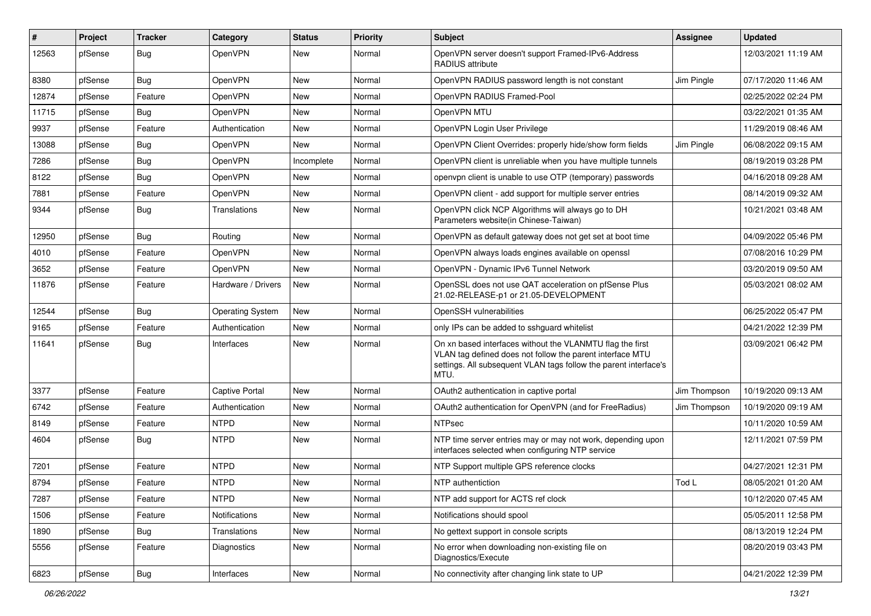| ∦     | Project | <b>Tracker</b> | Category                | <b>Status</b> | Priority | Subject                                                                                                                                                                                            | Assignee     | <b>Updated</b>      |
|-------|---------|----------------|-------------------------|---------------|----------|----------------------------------------------------------------------------------------------------------------------------------------------------------------------------------------------------|--------------|---------------------|
| 12563 | pfSense | Bug            | OpenVPN                 | New           | Normal   | OpenVPN server doesn't support Framed-IPv6-Address<br><b>RADIUS attribute</b>                                                                                                                      |              | 12/03/2021 11:19 AM |
| 8380  | pfSense | Bug            | OpenVPN                 | <b>New</b>    | Normal   | OpenVPN RADIUS password length is not constant                                                                                                                                                     | Jim Pingle   | 07/17/2020 11:46 AM |
| 12874 | pfSense | Feature        | OpenVPN                 | New           | Normal   | OpenVPN RADIUS Framed-Pool                                                                                                                                                                         |              | 02/25/2022 02:24 PM |
| 11715 | pfSense | <b>Bug</b>     | OpenVPN                 | New           | Normal   | OpenVPN MTU                                                                                                                                                                                        |              | 03/22/2021 01:35 AM |
| 9937  | pfSense | Feature        | Authentication          | New           | Normal   | OpenVPN Login User Privilege                                                                                                                                                                       |              | 11/29/2019 08:46 AM |
| 13088 | pfSense | Bug            | OpenVPN                 | <b>New</b>    | Normal   | OpenVPN Client Overrides: properly hide/show form fields                                                                                                                                           | Jim Pingle   | 06/08/2022 09:15 AM |
| 7286  | pfSense | Bug            | OpenVPN                 | Incomplete    | Normal   | OpenVPN client is unreliable when you have multiple tunnels                                                                                                                                        |              | 08/19/2019 03:28 PM |
| 8122  | pfSense | Bug            | <b>OpenVPN</b>          | New           | Normal   | openvpn client is unable to use OTP (temporary) passwords                                                                                                                                          |              | 04/16/2018 09:28 AM |
| 7881  | pfSense | Feature        | OpenVPN                 | <b>New</b>    | Normal   | OpenVPN client - add support for multiple server entries                                                                                                                                           |              | 08/14/2019 09:32 AM |
| 9344  | pfSense | Bug            | Translations            | New           | Normal   | OpenVPN click NCP Algorithms will always go to DH<br>Parameters website(in Chinese-Taiwan)                                                                                                         |              | 10/21/2021 03:48 AM |
| 12950 | pfSense | Bug            | Routing                 | <b>New</b>    | Normal   | OpenVPN as default gateway does not get set at boot time                                                                                                                                           |              | 04/09/2022 05:46 PM |
| 4010  | pfSense | Feature        | <b>OpenVPN</b>          | New           | Normal   | OpenVPN always loads engines available on openssl                                                                                                                                                  |              | 07/08/2016 10:29 PM |
| 3652  | pfSense | Feature        | <b>OpenVPN</b>          | New           | Normal   | OpenVPN - Dynamic IPv6 Tunnel Network                                                                                                                                                              |              | 03/20/2019 09:50 AM |
| 11876 | pfSense | Feature        | Hardware / Drivers      | <b>New</b>    | Normal   | OpenSSL does not use QAT acceleration on pfSense Plus<br>21.02-RELEASE-p1 or 21.05-DEVELOPMENT                                                                                                     |              | 05/03/2021 08:02 AM |
| 12544 | pfSense | Bug            | <b>Operating System</b> | <b>New</b>    | Normal   | OpenSSH vulnerabilities                                                                                                                                                                            |              | 06/25/2022 05:47 PM |
| 9165  | pfSense | Feature        | Authentication          | New           | Normal   | only IPs can be added to sshguard whitelist                                                                                                                                                        |              | 04/21/2022 12:39 PM |
| 11641 | pfSense | Bug            | Interfaces              | New           | Normal   | On xn based interfaces without the VLANMTU flag the first<br>VLAN tag defined does not follow the parent interface MTU<br>settings. All subsequent VLAN tags follow the parent interface's<br>MTU. |              | 03/09/2021 06:42 PM |
| 3377  | pfSense | Feature        | <b>Captive Portal</b>   | <b>New</b>    | Normal   | OAuth2 authentication in captive portal                                                                                                                                                            | Jim Thompson | 10/19/2020 09:13 AM |
| 6742  | pfSense | Feature        | Authentication          | New           | Normal   | OAuth2 authentication for OpenVPN (and for FreeRadius)                                                                                                                                             | Jim Thompson | 10/19/2020 09:19 AM |
| 8149  | pfSense | Feature        | <b>NTPD</b>             | <b>New</b>    | Normal   | <b>NTPsec</b>                                                                                                                                                                                      |              | 10/11/2020 10:59 AM |
| 4604  | pfSense | Bug            | <b>NTPD</b>             | New           | Normal   | NTP time server entries may or may not work, depending upon<br>interfaces selected when configuring NTP service                                                                                    |              | 12/11/2021 07:59 PM |
| 7201  | pfSense | Feature        | <b>NTPD</b>             | <b>New</b>    | Normal   | NTP Support multiple GPS reference clocks                                                                                                                                                          |              | 04/27/2021 12:31 PM |
| 8794  | pfSense | Feature        | <b>NTPD</b>             | New           | Normal   | NTP authentiction                                                                                                                                                                                  | Tod L        | 08/05/2021 01:20 AM |
| 7287  | pfSense | Feature        | <b>NTPD</b>             | New           | Normal   | NTP add support for ACTS ref clock                                                                                                                                                                 |              | 10/12/2020 07:45 AM |
| 1506  | pfSense | Feature        | Notifications           | New           | Normal   | Notifications should spool                                                                                                                                                                         |              | 05/05/2011 12:58 PM |
| 1890  | pfSense | Bug            | Translations            | New           | Normal   | No gettext support in console scripts                                                                                                                                                              |              | 08/13/2019 12:24 PM |
| 5556  | pfSense | Feature        | Diagnostics             | New           | Normal   | No error when downloading non-existing file on<br>Diagnostics/Execute                                                                                                                              |              | 08/20/2019 03:43 PM |
| 6823  | pfSense | i Bug          | Interfaces              | New           | Normal   | No connectivity after changing link state to UP                                                                                                                                                    |              | 04/21/2022 12:39 PM |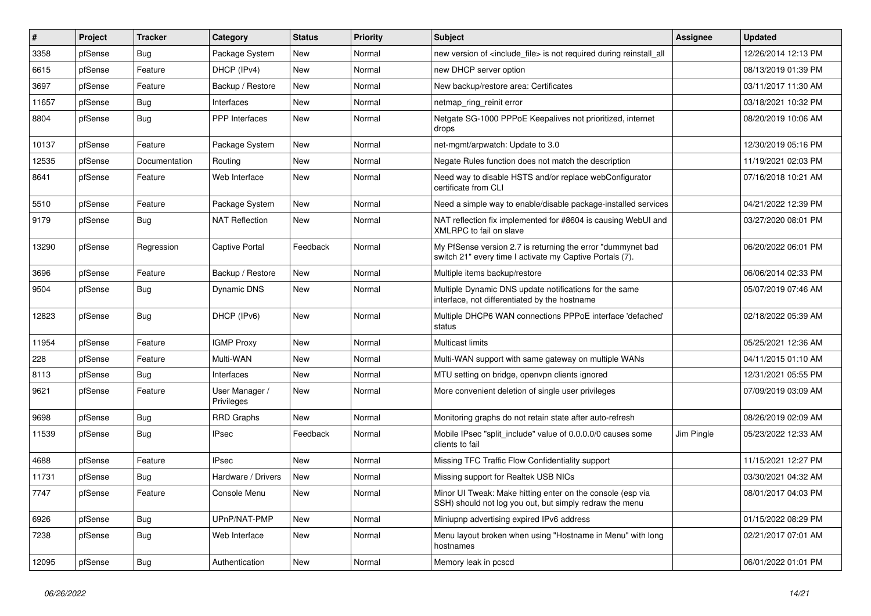| ∦     | Project | <b>Tracker</b> | Category                     | <b>Status</b> | <b>Priority</b> | Subject                                                                                                                 | Assignee   | <b>Updated</b>      |
|-------|---------|----------------|------------------------------|---------------|-----------------|-------------------------------------------------------------------------------------------------------------------------|------------|---------------------|
| 3358  | pfSense | Bug            | Package System               | New           | Normal          | new version of <include file=""> is not required during reinstall all</include>                                         |            | 12/26/2014 12:13 PM |
| 6615  | pfSense | Feature        | DHCP (IPv4)                  | New           | Normal          | new DHCP server option                                                                                                  |            | 08/13/2019 01:39 PM |
| 3697  | pfSense | Feature        | Backup / Restore             | New           | Normal          | New backup/restore area: Certificates                                                                                   |            | 03/11/2017 11:30 AM |
| 11657 | pfSense | Bug            | Interfaces                   | New           | Normal          | netmap ring reinit error                                                                                                |            | 03/18/2021 10:32 PM |
| 8804  | pfSense | Bug            | PPP Interfaces               | New           | Normal          | Netgate SG-1000 PPPoE Keepalives not prioritized, internet<br>drops                                                     |            | 08/20/2019 10:06 AM |
| 10137 | pfSense | Feature        | Package System               | New           | Normal          | net-mgmt/arpwatch: Update to 3.0                                                                                        |            | 12/30/2019 05:16 PM |
| 12535 | pfSense | Documentation  | Routing                      | <b>New</b>    | Normal          | Negate Rules function does not match the description                                                                    |            | 11/19/2021 02:03 PM |
| 8641  | pfSense | Feature        | Web Interface                | New           | Normal          | Need way to disable HSTS and/or replace webConfigurator<br>certificate from CLI                                         |            | 07/16/2018 10:21 AM |
| 5510  | pfSense | Feature        | Package System               | New           | Normal          | Need a simple way to enable/disable package-installed services                                                          |            | 04/21/2022 12:39 PM |
| 9179  | pfSense | <b>Bug</b>     | <b>NAT Reflection</b>        | <b>New</b>    | Normal          | NAT reflection fix implemented for #8604 is causing WebUI and<br>XMLRPC to fail on slave                                |            | 03/27/2020 08:01 PM |
| 13290 | pfSense | Regression     | <b>Captive Portal</b>        | Feedback      | Normal          | My PfSense version 2.7 is returning the error "dummynet bad<br>switch 21" every time I activate my Captive Portals (7). |            | 06/20/2022 06:01 PM |
| 3696  | pfSense | Feature        | Backup / Restore             | New           | Normal          | Multiple items backup/restore                                                                                           |            | 06/06/2014 02:33 PM |
| 9504  | pfSense | Bug            | Dynamic DNS                  | New           | Normal          | Multiple Dynamic DNS update notifications for the same<br>interface, not differentiated by the hostname                 |            | 05/07/2019 07:46 AM |
| 12823 | pfSense | Bug            | DHCP (IPv6)                  | <b>New</b>    | Normal          | Multiple DHCP6 WAN connections PPPoE interface 'defached'<br>status                                                     |            | 02/18/2022 05:39 AM |
| 11954 | pfSense | Feature        | <b>IGMP Proxy</b>            | New           | Normal          | <b>Multicast limits</b>                                                                                                 |            | 05/25/2021 12:36 AM |
| 228   | pfSense | Feature        | Multi-WAN                    | New           | Normal          | Multi-WAN support with same gateway on multiple WANs                                                                    |            | 04/11/2015 01:10 AM |
| 8113  | pfSense | Bug            | Interfaces                   | New           | Normal          | MTU setting on bridge, openvpn clients ignored                                                                          |            | 12/31/2021 05:55 PM |
| 9621  | pfSense | Feature        | User Manager /<br>Privileges | New           | Normal          | More convenient deletion of single user privileges                                                                      |            | 07/09/2019 03:09 AM |
| 9698  | pfSense | Bug            | <b>RRD Graphs</b>            | New           | Normal          | Monitoring graphs do not retain state after auto-refresh                                                                |            | 08/26/2019 02:09 AM |
| 11539 | pfSense | Bug            | <b>IPsec</b>                 | Feedback      | Normal          | Mobile IPsec "split_include" value of 0.0.0.0/0 causes some<br>clients to fail                                          | Jim Pingle | 05/23/2022 12:33 AM |
| 4688  | pfSense | Feature        | <b>IPsec</b>                 | <b>New</b>    | Normal          | Missing TFC Traffic Flow Confidentiality support                                                                        |            | 11/15/2021 12:27 PM |
| 11731 | pfSense | <b>Bug</b>     | Hardware / Drivers           | New           | Normal          | Missing support for Realtek USB NICs                                                                                    |            | 03/30/2021 04:32 AM |
| 7747  | pfSense | Feature        | Console Menu                 | New           | Normal          | Minor UI Tweak: Make hitting enter on the console (esp via<br>SSH) should not log you out, but simply redraw the menu   |            | 08/01/2017 04:03 PM |
| 6926  | pfSense | Bug            | UPnP/NAT-PMP                 | New           | Normal          | Miniupnp advertising expired IPv6 address                                                                               |            | 01/15/2022 08:29 PM |
| 7238  | pfSense | <b>Bug</b>     | Web Interface                | New           | Normal          | Menu layout broken when using "Hostname in Menu" with long<br>hostnames                                                 |            | 02/21/2017 07:01 AM |
| 12095 | pfSense | <b>Bug</b>     | Authentication               | New           | Normal          | Memory leak in pcscd                                                                                                    |            | 06/01/2022 01:01 PM |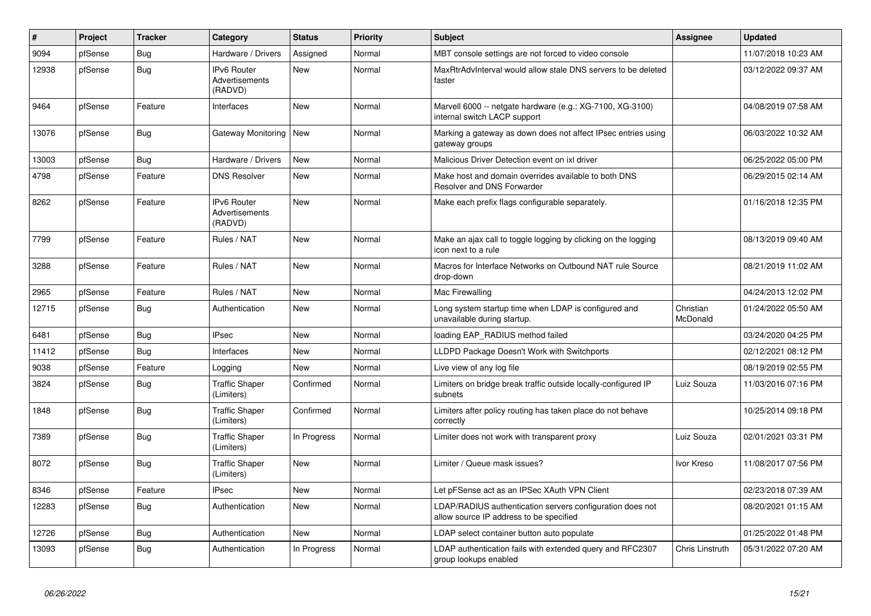| #     | <b>Project</b> | <b>Tracker</b> | Category                                        | <b>Status</b> | Priority | <b>Subject</b>                                                                                       | <b>Assignee</b>        | <b>Updated</b>      |
|-------|----------------|----------------|-------------------------------------------------|---------------|----------|------------------------------------------------------------------------------------------------------|------------------------|---------------------|
| 9094  | pfSense        | Bug            | Hardware / Drivers                              | Assigned      | Normal   | MBT console settings are not forced to video console                                                 |                        | 11/07/2018 10:23 AM |
| 12938 | pfSense        | <b>Bug</b>     | <b>IPv6 Router</b><br>Advertisements<br>(RADVD) | <b>New</b>    | Normal   | MaxRtrAdvInterval would allow stale DNS servers to be deleted<br>faster                              |                        | 03/12/2022 09:37 AM |
| 9464  | pfSense        | Feature        | Interfaces                                      | <b>New</b>    | Normal   | Marvell 6000 -- netgate hardware (e.g.: XG-7100, XG-3100)<br>internal switch LACP support            |                        | 04/08/2019 07:58 AM |
| 13076 | pfSense        | Bug            | Gateway Monitoring                              | <b>New</b>    | Normal   | Marking a gateway as down does not affect IPsec entries using<br>gateway groups                      |                        | 06/03/2022 10:32 AM |
| 13003 | pfSense        | Bug            | Hardware / Drivers                              | <b>New</b>    | Normal   | Malicious Driver Detection event on ixl driver                                                       |                        | 06/25/2022 05:00 PM |
| 4798  | pfSense        | Feature        | <b>DNS Resolver</b>                             | <b>New</b>    | Normal   | Make host and domain overrides available to both DNS<br>Resolver and DNS Forwarder                   |                        | 06/29/2015 02:14 AM |
| 8262  | pfSense        | Feature        | <b>IPv6 Router</b><br>Advertisements<br>(RADVD) | <b>New</b>    | Normal   | Make each prefix flags configurable separately.                                                      |                        | 01/16/2018 12:35 PM |
| 7799  | pfSense        | Feature        | Rules / NAT                                     | New           | Normal   | Make an ajax call to toggle logging by clicking on the logging<br>icon next to a rule                |                        | 08/13/2019 09:40 AM |
| 3288  | pfSense        | Feature        | Rules / NAT                                     | <b>New</b>    | Normal   | Macros for Interface Networks on Outbound NAT rule Source<br>drop-down                               |                        | 08/21/2019 11:02 AM |
| 2965  | pfSense        | Feature        | Rules / NAT                                     | New           | Normal   | Mac Firewalling                                                                                      |                        | 04/24/2013 12:02 PM |
| 12715 | pfSense        | <b>Bug</b>     | Authentication                                  | <b>New</b>    | Normal   | Long system startup time when LDAP is configured and<br>unavailable during startup.                  | Christian<br>McDonald  | 01/24/2022 05:50 AM |
| 6481  | pfSense        | <b>Bug</b>     | <b>IPsec</b>                                    | <b>New</b>    | Normal   | loading EAP RADIUS method failed                                                                     |                        | 03/24/2020 04:25 PM |
| 11412 | pfSense        | Bug            | Interfaces                                      | <b>New</b>    | Normal   | LLDPD Package Doesn't Work with Switchports                                                          |                        | 02/12/2021 08:12 PM |
| 9038  | pfSense        | Feature        | Logging                                         | New           | Normal   | Live view of any log file                                                                            |                        | 08/19/2019 02:55 PM |
| 3824  | pfSense        | <b>Bug</b>     | <b>Traffic Shaper</b><br>(Limiters)             | Confirmed     | Normal   | Limiters on bridge break traffic outside locally-configured IP<br>subnets                            | Luiz Souza             | 11/03/2016 07:16 PM |
| 1848  | pfSense        | <b>Bug</b>     | <b>Traffic Shaper</b><br>(Limiters)             | Confirmed     | Normal   | Limiters after policy routing has taken place do not behave<br>correctly                             |                        | 10/25/2014 09:18 PM |
| 7389  | pfSense        | <b>Bug</b>     | <b>Traffic Shaper</b><br>(Limiters)             | In Progress   | Normal   | Limiter does not work with transparent proxy                                                         | Luiz Souza             | 02/01/2021 03:31 PM |
| 8072  | pfSense        | Bug            | <b>Traffic Shaper</b><br>(Limiters)             | New           | Normal   | Limiter / Queue mask issues?                                                                         | Ivor Kreso             | 11/08/2017 07:56 PM |
| 8346  | pfSense        | Feature        | <b>IPsec</b>                                    | <b>New</b>    | Normal   | Let pFSense act as an IPSec XAuth VPN Client                                                         |                        | 02/23/2018 07:39 AM |
| 12283 | pfSense        | Bug            | Authentication                                  | <b>New</b>    | Normal   | LDAP/RADIUS authentication servers configuration does not<br>allow source IP address to be specified |                        | 08/20/2021 01:15 AM |
| 12726 | pfSense        | Bug            | Authentication                                  | <b>New</b>    | Normal   | LDAP select container button auto populate                                                           |                        | 01/25/2022 01:48 PM |
| 13093 | pfSense        | <b>Bug</b>     | Authentication                                  | In Progress   | Normal   | LDAP authentication fails with extended query and RFC2307<br>group lookups enabled                   | <b>Chris Linstruth</b> | 05/31/2022 07:20 AM |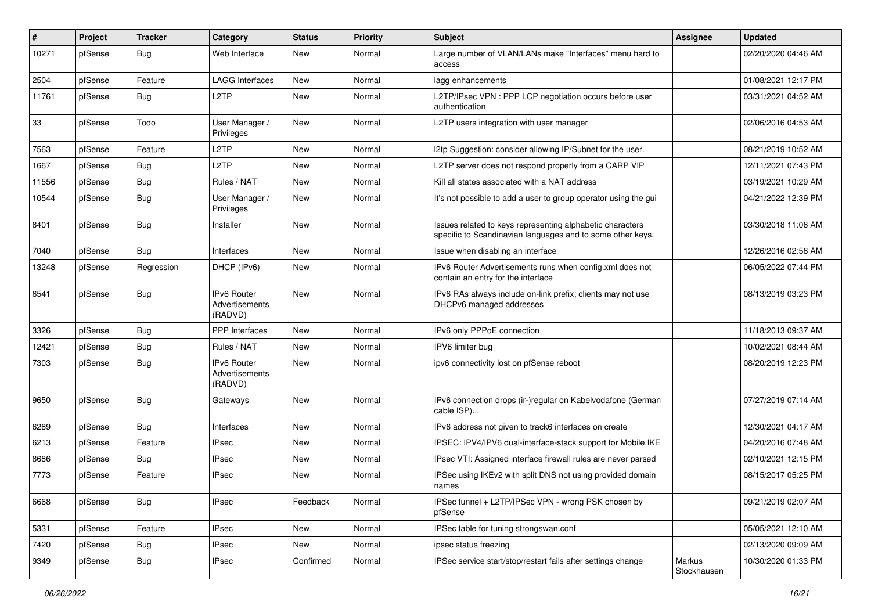| #     | Project | <b>Tracker</b> | Category                                        | <b>Status</b> | Priority | <b>Subject</b>                                                                                                          | <b>Assignee</b>       | <b>Updated</b>      |
|-------|---------|----------------|-------------------------------------------------|---------------|----------|-------------------------------------------------------------------------------------------------------------------------|-----------------------|---------------------|
| 10271 | pfSense | Bug            | Web Interface                                   | New           | Normal   | Large number of VLAN/LANs make "Interfaces" menu hard to<br>access                                                      |                       | 02/20/2020 04:46 AM |
| 2504  | pfSense | Feature        | <b>LAGG Interfaces</b>                          | New           | Normal   | lagg enhancements                                                                                                       |                       | 01/08/2021 12:17 PM |
| 11761 | pfSense | Bug            | L <sub>2</sub> TP                               | <b>New</b>    | Normal   | L2TP/IPsec VPN : PPP LCP negotiation occurs before user<br>authentication                                               |                       | 03/31/2021 04:52 AM |
| 33    | pfSense | Todo           | User Manager /<br>Privileges                    | <b>New</b>    | Normal   | L2TP users integration with user manager                                                                                |                       | 02/06/2016 04:53 AM |
| 7563  | pfSense | Feature        | L <sub>2</sub> TP                               | <b>New</b>    | Normal   | I2tp Suggestion: consider allowing IP/Subnet for the user.                                                              |                       | 08/21/2019 10:52 AM |
| 1667  | pfSense | Bug            | L <sub>2</sub> TP                               | New           | Normal   | L2TP server does not respond properly from a CARP VIP                                                                   |                       | 12/11/2021 07:43 PM |
| 11556 | pfSense | Bug            | Rules / NAT                                     | <b>New</b>    | Normal   | Kill all states associated with a NAT address                                                                           |                       | 03/19/2021 10:29 AM |
| 10544 | pfSense | Bug            | User Manager /<br>Privileges                    | New           | Normal   | It's not possible to add a user to group operator using the gui                                                         |                       | 04/21/2022 12:39 PM |
| 8401  | pfSense | Bug            | Installer                                       | New           | Normal   | Issues related to keys representing alphabetic characters<br>specific to Scandinavian languages and to some other keys. |                       | 03/30/2018 11:06 AM |
| 7040  | pfSense | Bug            | Interfaces                                      | New           | Normal   | Issue when disabling an interface                                                                                       |                       | 12/26/2016 02:56 AM |
| 13248 | pfSense | Regression     | DHCP (IPv6)                                     | New           | Normal   | IPv6 Router Advertisements runs when config.xml does not<br>contain an entry for the interface                          |                       | 06/05/2022 07:44 PM |
| 6541  | pfSense | Bug            | IPv6 Router<br><b>Advertisements</b><br>(RADVD) | New           | Normal   | IPv6 RAs always include on-link prefix; clients may not use<br>DHCPv6 managed addresses                                 |                       | 08/13/2019 03:23 PM |
| 3326  | pfSense | Bug            | PPP Interfaces                                  | <b>New</b>    | Normal   | IPv6 only PPPoE connection                                                                                              |                       | 11/18/2013 09:37 AM |
| 12421 | pfSense | Bug            | Rules / NAT                                     | New           | Normal   | IPV6 limiter bug                                                                                                        |                       | 10/02/2021 08:44 AM |
| 7303  | pfSense | Bug            | <b>IPv6 Router</b><br>Advertisements<br>(RADVD) | New           | Normal   | ipv6 connectivity lost on pfSense reboot                                                                                |                       | 08/20/2019 12:23 PM |
| 9650  | pfSense | Bug            | Gateways                                        | <b>New</b>    | Normal   | IPv6 connection drops (ir-)regular on Kabelvodafone (German<br>cable ISP)                                               |                       | 07/27/2019 07:14 AM |
| 6289  | pfSense | Bug            | Interfaces                                      | New           | Normal   | IPv6 address not given to track6 interfaces on create                                                                   |                       | 12/30/2021 04:17 AM |
| 6213  | pfSense | Feature        | <b>IPsec</b>                                    | New           | Normal   | IPSEC: IPV4/IPV6 dual-interface-stack support for Mobile IKE                                                            |                       | 04/20/2016 07:48 AM |
| 8686  | pfSense | Bug            | <b>IPsec</b>                                    | <b>New</b>    | Normal   | IPsec VTI: Assigned interface firewall rules are never parsed                                                           |                       | 02/10/2021 12:15 PM |
| 7773  | pfSense | Feature        | <b>IPsec</b>                                    | <b>New</b>    | Normal   | IPSec using IKEv2 with split DNS not using provided domain<br>names                                                     |                       | 08/15/2017 05:25 PM |
| 6668  | pfSense | Bug            | <b>IPsec</b>                                    | Feedback      | Normal   | IPSec tunnel + L2TP/IPSec VPN - wrong PSK chosen by<br>pfSense                                                          |                       | 09/21/2019 02:07 AM |
| 5331  | pfSense | Feature        | <b>IPsec</b>                                    | New           | Normal   | IPSec table for tuning strongswan.conf                                                                                  |                       | 05/05/2021 12:10 AM |
| 7420  | pfSense | <b>Bug</b>     | <b>IPsec</b>                                    | New           | Normal   | ipsec status freezing                                                                                                   |                       | 02/13/2020 09:09 AM |
| 9349  | pfSense | <b>Bug</b>     | <b>IPsec</b>                                    | Confirmed     | Normal   | IPSec service start/stop/restart fails after settings change                                                            | Markus<br>Stockhausen | 10/30/2020 01:33 PM |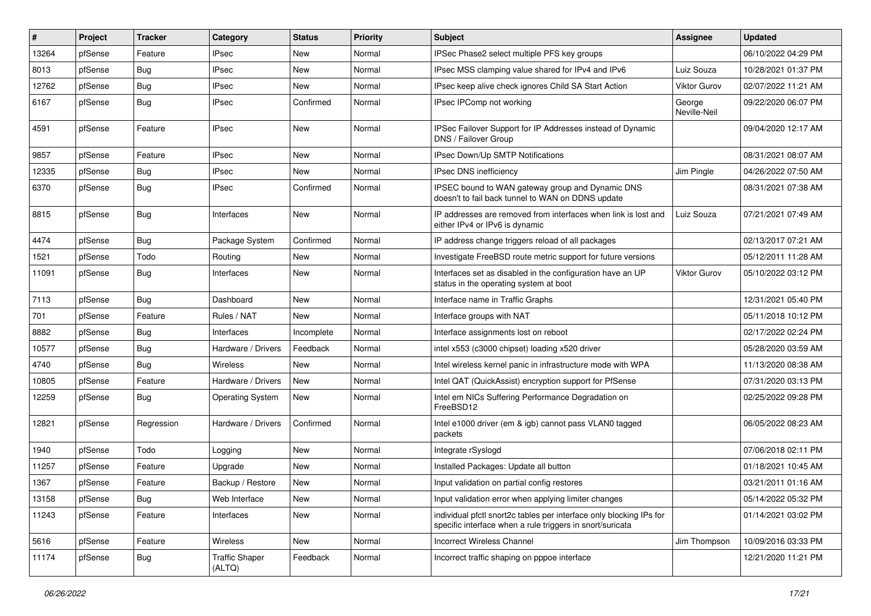| #     | Project | <b>Tracker</b> | Category                        | <b>Status</b> | <b>Priority</b> | <b>Subject</b>                                                                                                                   | <b>Assignee</b>        | <b>Updated</b>      |
|-------|---------|----------------|---------------------------------|---------------|-----------------|----------------------------------------------------------------------------------------------------------------------------------|------------------------|---------------------|
| 13264 | pfSense | Feature        | <b>IPsec</b>                    | New           | Normal          | IPSec Phase2 select multiple PFS key groups                                                                                      |                        | 06/10/2022 04:29 PM |
| 8013  | pfSense | Bug            | <b>IPsec</b>                    | <b>New</b>    | Normal          | IPsec MSS clamping value shared for IPv4 and IPv6                                                                                | Luiz Souza             | 10/28/2021 01:37 PM |
| 12762 | pfSense | <b>Bug</b>     | <b>IPsec</b>                    | New           | Normal          | IPsec keep alive check ignores Child SA Start Action                                                                             | Viktor Gurov           | 02/07/2022 11:21 AM |
| 6167  | pfSense | <b>Bug</b>     | <b>IPsec</b>                    | Confirmed     | Normal          | IPsec IPComp not working                                                                                                         | George<br>Neville-Neil | 09/22/2020 06:07 PM |
| 4591  | pfSense | Feature        | <b>IPsec</b>                    | <b>New</b>    | Normal          | IPSec Failover Support for IP Addresses instead of Dynamic<br>DNS / Failover Group                                               |                        | 09/04/2020 12:17 AM |
| 9857  | pfSense | Feature        | <b>IPsec</b>                    | <b>New</b>    | Normal          | IPsec Down/Up SMTP Notifications                                                                                                 |                        | 08/31/2021 08:07 AM |
| 12335 | pfSense | <b>Bug</b>     | <b>IPsec</b>                    | New           | Normal          | <b>IPsec DNS inefficiency</b>                                                                                                    | Jim Pingle             | 04/26/2022 07:50 AM |
| 6370  | pfSense | Bug            | <b>IPsec</b>                    | Confirmed     | Normal          | IPSEC bound to WAN gateway group and Dynamic DNS<br>doesn't to fail back tunnel to WAN on DDNS update                            |                        | 08/31/2021 07:38 AM |
| 8815  | pfSense | <b>Bug</b>     | Interfaces                      | <b>New</b>    | Normal          | IP addresses are removed from interfaces when link is lost and<br>either IPv4 or IPv6 is dynamic                                 | Luiz Souza             | 07/21/2021 07:49 AM |
| 4474  | pfSense | Bug            | Package System                  | Confirmed     | Normal          | IP address change triggers reload of all packages                                                                                |                        | 02/13/2017 07:21 AM |
| 1521  | pfSense | Todo           | Routing                         | <b>New</b>    | Normal          | Investigate FreeBSD route metric support for future versions                                                                     |                        | 05/12/2011 11:28 AM |
| 11091 | pfSense | Bug            | Interfaces                      | <b>New</b>    | Normal          | Interfaces set as disabled in the configuration have an UP<br>status in the operating system at boot                             | <b>Viktor Gurov</b>    | 05/10/2022 03:12 PM |
| 7113  | pfSense | Bug            | Dashboard                       | <b>New</b>    | Normal          | Interface name in Traffic Graphs                                                                                                 |                        | 12/31/2021 05:40 PM |
| 701   | pfSense | Feature        | Rules / NAT                     | <b>New</b>    | Normal          | Interface groups with NAT                                                                                                        |                        | 05/11/2018 10:12 PM |
| 8882  | pfSense | <b>Bug</b>     | Interfaces                      | Incomplete    | Normal          | Interface assignments lost on reboot                                                                                             |                        | 02/17/2022 02:24 PM |
| 10577 | pfSense | <b>Bug</b>     | Hardware / Drivers              | Feedback      | Normal          | intel x553 (c3000 chipset) loading x520 driver                                                                                   |                        | 05/28/2020 03:59 AM |
| 4740  | pfSense | Bug            | Wireless                        | New           | Normal          | Intel wireless kernel panic in infrastructure mode with WPA                                                                      |                        | 11/13/2020 08:38 AM |
| 10805 | pfSense | Feature        | Hardware / Drivers              | <b>New</b>    | Normal          | Intel QAT (QuickAssist) encryption support for PfSense                                                                           |                        | 07/31/2020 03:13 PM |
| 12259 | pfSense | Bug            | <b>Operating System</b>         | <b>New</b>    | Normal          | Intel em NICs Suffering Performance Degradation on<br>FreeBSD12                                                                  |                        | 02/25/2022 09:28 PM |
| 12821 | pfSense | Regression     | Hardware / Drivers              | Confirmed     | Normal          | Intel e1000 driver (em & igb) cannot pass VLAN0 tagged<br>packets                                                                |                        | 06/05/2022 08:23 AM |
| 1940  | pfSense | Todo           | Logging                         | <b>New</b>    | Normal          | Integrate rSyslogd                                                                                                               |                        | 07/06/2018 02:11 PM |
| 11257 | pfSense | Feature        | Upgrade                         | <b>New</b>    | Normal          | Installed Packages: Update all button                                                                                            |                        | 01/18/2021 10:45 AM |
| 1367  | pfSense | Feature        | Backup / Restore                | New           | Normal          | Input validation on partial config restores                                                                                      |                        | 03/21/2011 01:16 AM |
| 13158 | pfSense | <b>Bug</b>     | Web Interface                   | New           | Normal          | Input validation error when applying limiter changes                                                                             |                        | 05/14/2022 05:32 PM |
| 11243 | pfSense | Feature        | Interfaces                      | New           | Normal          | individual pfctl snort2c tables per interface only blocking IPs for<br>specific interface when a rule triggers in snort/suricata |                        | 01/14/2021 03:02 PM |
| 5616  | pfSense | Feature        | Wireless                        | New           | Normal          | <b>Incorrect Wireless Channel</b>                                                                                                | Jim Thompson           | 10/09/2016 03:33 PM |
| 11174 | pfSense | Bug            | <b>Traffic Shaper</b><br>(ALTQ) | Feedback      | Normal          | Incorrect traffic shaping on pppoe interface                                                                                     |                        | 12/21/2020 11:21 PM |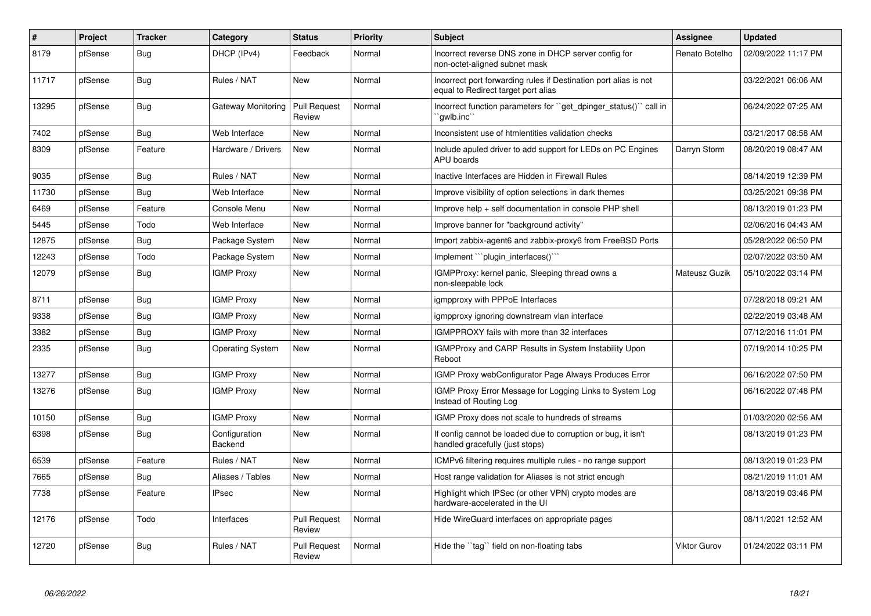| #     | Project | <b>Tracker</b> | Category                 | <b>Status</b>                 | <b>Priority</b> | <b>Subject</b>                                                                                          | <b>Assignee</b>     | <b>Updated</b>      |
|-------|---------|----------------|--------------------------|-------------------------------|-----------------|---------------------------------------------------------------------------------------------------------|---------------------|---------------------|
| 8179  | pfSense | Bug            | DHCP (IPv4)              | Feedback                      | Normal          | Incorrect reverse DNS zone in DHCP server config for<br>non-octet-aligned subnet mask                   | Renato Botelho      | 02/09/2022 11:17 PM |
| 11717 | pfSense | Bug            | Rules / NAT              | <b>New</b>                    | Normal          | Incorrect port forwarding rules if Destination port alias is not<br>equal to Redirect target port alias |                     | 03/22/2021 06:06 AM |
| 13295 | pfSense | <b>Bug</b>     | Gateway Monitoring       | Pull Request<br>Review        | Normal          | Incorrect function parameters for "get dpinger status()" call in<br>`gwlb.inc``                         |                     | 06/24/2022 07:25 AM |
| 7402  | pfSense | <b>Bug</b>     | Web Interface            | New                           | Normal          | Inconsistent use of htmlentities validation checks                                                      |                     | 03/21/2017 08:58 AM |
| 8309  | pfSense | Feature        | Hardware / Drivers       | <b>New</b>                    | Normal          | Include apuled driver to add support for LEDs on PC Engines<br>APU boards                               | Darryn Storm        | 08/20/2019 08:47 AM |
| 9035  | pfSense | <b>Bug</b>     | Rules / NAT              | <b>New</b>                    | Normal          | Inactive Interfaces are Hidden in Firewall Rules                                                        |                     | 08/14/2019 12:39 PM |
| 11730 | pfSense | <b>Bug</b>     | Web Interface            | New                           | Normal          | Improve visibility of option selections in dark themes                                                  |                     | 03/25/2021 09:38 PM |
| 6469  | pfSense | Feature        | Console Menu             | New                           | Normal          | Improve help + self documentation in console PHP shell                                                  |                     | 08/13/2019 01:23 PM |
| 5445  | pfSense | Todo           | Web Interface            | New                           | Normal          | Improve banner for "background activity"                                                                |                     | 02/06/2016 04:43 AM |
| 12875 | pfSense | Bug            | Package System           | New                           | Normal          | Import zabbix-agent6 and zabbix-proxy6 from FreeBSD Ports                                               |                     | 05/28/2022 06:50 PM |
| 12243 | pfSense | Todo           | Package System           | New                           | Normal          | Implement ```plugin interfaces()```                                                                     |                     | 02/07/2022 03:50 AM |
| 12079 | pfSense | <b>Bug</b>     | <b>IGMP Proxy</b>        | <b>New</b>                    | Normal          | IGMPProxy: kernel panic, Sleeping thread owns a<br>non-sleepable lock                                   | Mateusz Guzik       | 05/10/2022 03:14 PM |
| 8711  | pfSense | <b>Bug</b>     | <b>IGMP Proxy</b>        | <b>New</b>                    | Normal          | igmpproxy with PPPoE Interfaces                                                                         |                     | 07/28/2018 09:21 AM |
| 9338  | pfSense | <b>Bug</b>     | <b>IGMP Proxy</b>        | <b>New</b>                    | Normal          | igmpproxy ignoring downstream vlan interface                                                            |                     | 02/22/2019 03:48 AM |
| 3382  | pfSense | Bug            | <b>IGMP Proxy</b>        | <b>New</b>                    | Normal          | <b>IGMPPROXY</b> fails with more than 32 interfaces                                                     |                     | 07/12/2016 11:01 PM |
| 2335  | pfSense | <b>Bug</b>     | <b>Operating System</b>  | <b>New</b>                    | Normal          | <b>IGMPProxy and CARP Results in System Instability Upon</b><br>Reboot                                  |                     | 07/19/2014 10:25 PM |
| 13277 | pfSense | Bug            | <b>IGMP Proxy</b>        | <b>New</b>                    | Normal          | IGMP Proxy webConfigurator Page Always Produces Error                                                   |                     | 06/16/2022 07:50 PM |
| 13276 | pfSense | Bug            | <b>IGMP Proxy</b>        | <b>New</b>                    | Normal          | IGMP Proxy Error Message for Logging Links to System Log<br>Instead of Routing Log                      |                     | 06/16/2022 07:48 PM |
| 10150 | pfSense | <b>Bug</b>     | <b>IGMP Proxy</b>        | New                           | Normal          | IGMP Proxy does not scale to hundreds of streams                                                        |                     | 01/03/2020 02:56 AM |
| 6398  | pfSense | Bug            | Configuration<br>Backend | <b>New</b>                    | Normal          | If config cannot be loaded due to corruption or bug, it isn't<br>handled gracefully (just stops)        |                     | 08/13/2019 01:23 PM |
| 6539  | pfSense | Feature        | Rules / NAT              | <b>New</b>                    | Normal          | ICMPv6 filtering requires multiple rules - no range support                                             |                     | 08/13/2019 01:23 PM |
| 7665  | pfSense | Bug            | Aliases / Tables         | <b>New</b>                    | Normal          | Host range validation for Aliases is not strict enough                                                  |                     | 08/21/2019 11:01 AM |
| 7738  | pfSense | Feature        | <b>IPsec</b>             | <b>New</b>                    | Normal          | Highlight which IPSec (or other VPN) crypto modes are<br>hardware-accelerated in the UI                 |                     | 08/13/2019 03:46 PM |
| 12176 | pfSense | Todo           | Interfaces               | <b>Pull Request</b><br>Review | Normal          | Hide WireGuard interfaces on appropriate pages                                                          |                     | 08/11/2021 12:52 AM |
| 12720 | pfSense | <b>Bug</b>     | Rules / NAT              | <b>Pull Request</b><br>Review | Normal          | Hide the "tag" field on non-floating tabs                                                               | <b>Viktor Gurov</b> | 01/24/2022 03:11 PM |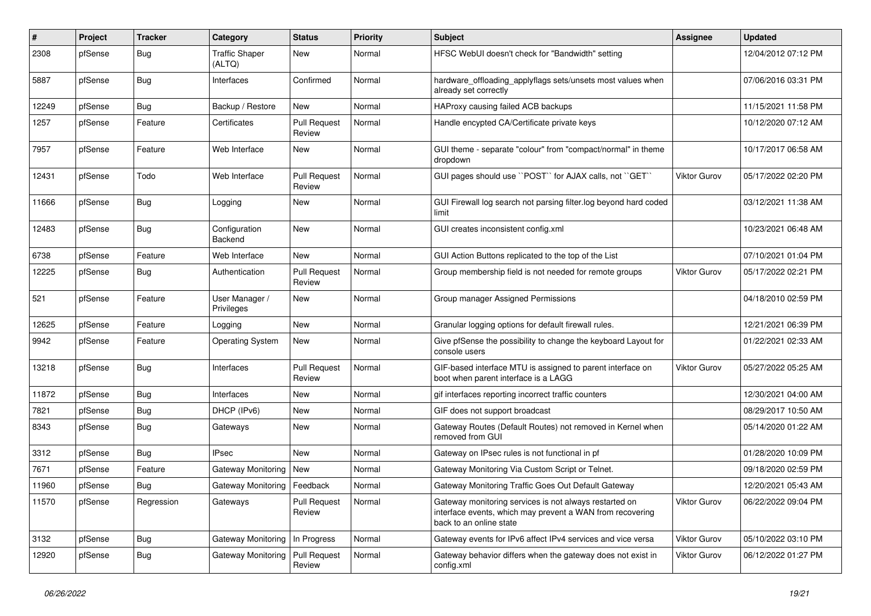| $\#$  | Project | <b>Tracker</b> | Category                        | <b>Status</b>                 | <b>Priority</b> | <b>Subject</b>                                                                                                                                 | <b>Assignee</b>     | <b>Updated</b>      |
|-------|---------|----------------|---------------------------------|-------------------------------|-----------------|------------------------------------------------------------------------------------------------------------------------------------------------|---------------------|---------------------|
| 2308  | pfSense | <b>Bug</b>     | <b>Traffic Shaper</b><br>(ALTQ) | New                           | Normal          | HFSC WebUI doesn't check for "Bandwidth" setting                                                                                               |                     | 12/04/2012 07:12 PM |
| 5887  | pfSense | Bug            | Interfaces                      | Confirmed                     | Normal          | hardware_offloading_applyflags sets/unsets most values when<br>already set correctly                                                           |                     | 07/06/2016 03:31 PM |
| 12249 | pfSense | Bug            | Backup / Restore                | New                           | Normal          | HAProxy causing failed ACB backups                                                                                                             |                     | 11/15/2021 11:58 PM |
| 1257  | pfSense | Feature        | Certificates                    | <b>Pull Request</b><br>Review | Normal          | Handle encypted CA/Certificate private keys                                                                                                    |                     | 10/12/2020 07:12 AM |
| 7957  | pfSense | Feature        | Web Interface                   | New                           | Normal          | GUI theme - separate "colour" from "compact/normal" in theme<br>dropdown                                                                       |                     | 10/17/2017 06:58 AM |
| 12431 | pfSense | Todo           | Web Interface                   | <b>Pull Request</b><br>Review | Normal          | GUI pages should use "POST" for AJAX calls, not "GET"                                                                                          | Viktor Gurov        | 05/17/2022 02:20 PM |
| 11666 | pfSense | Bug            | Logging                         | New                           | Normal          | GUI Firewall log search not parsing filter.log beyond hard coded<br>limit                                                                      |                     | 03/12/2021 11:38 AM |
| 12483 | pfSense | Bug            | Configuration<br>Backend        | New                           | Normal          | GUI creates inconsistent config.xml                                                                                                            |                     | 10/23/2021 06:48 AM |
| 6738  | pfSense | Feature        | Web Interface                   | New                           | Normal          | GUI Action Buttons replicated to the top of the List                                                                                           |                     | 07/10/2021 01:04 PM |
| 12225 | pfSense | Bug            | Authentication                  | <b>Pull Request</b><br>Review | Normal          | Group membership field is not needed for remote groups                                                                                         | <b>Viktor Gurov</b> | 05/17/2022 02:21 PM |
| 521   | pfSense | Feature        | User Manager /<br>Privileges    | New                           | Normal          | Group manager Assigned Permissions                                                                                                             |                     | 04/18/2010 02:59 PM |
| 12625 | pfSense | Feature        | Logging                         | New                           | Normal          | Granular logging options for default firewall rules.                                                                                           |                     | 12/21/2021 06:39 PM |
| 9942  | pfSense | Feature        | <b>Operating System</b>         | New                           | Normal          | Give pfSense the possibility to change the keyboard Layout for<br>console users                                                                |                     | 01/22/2021 02:33 AM |
| 13218 | pfSense | Bug            | Interfaces                      | <b>Pull Request</b><br>Review | Normal          | GIF-based interface MTU is assigned to parent interface on<br>boot when parent interface is a LAGG                                             | <b>Viktor Gurov</b> | 05/27/2022 05:25 AM |
| 11872 | pfSense | Bug            | Interfaces                      | New                           | Normal          | gif interfaces reporting incorrect traffic counters                                                                                            |                     | 12/30/2021 04:00 AM |
| 7821  | pfSense | Bug            | DHCP (IPv6)                     | New                           | Normal          | GIF does not support broadcast                                                                                                                 |                     | 08/29/2017 10:50 AM |
| 8343  | pfSense | Bug            | Gateways                        | New                           | Normal          | Gateway Routes (Default Routes) not removed in Kernel when<br>removed from GUI                                                                 |                     | 05/14/2020 01:22 AM |
| 3312  | pfSense | <b>Bug</b>     | <b>IPsec</b>                    | <b>New</b>                    | Normal          | Gateway on IPsec rules is not functional in pf                                                                                                 |                     | 01/28/2020 10:09 PM |
| 7671  | pfSense | Feature        | Gateway Monitoring              | <b>New</b>                    | Normal          | Gateway Monitoring Via Custom Script or Telnet.                                                                                                |                     | 09/18/2020 02:59 PM |
| 11960 | pfSense | <b>Bug</b>     | Gateway Monitoring   Feedback   |                               | Normal          | Gateway Monitoring Traffic Goes Out Default Gateway                                                                                            |                     | 12/20/2021 05:43 AM |
| 11570 | pfSense | Regression     | Gateways                        | <b>Pull Request</b><br>Review | Normal          | Gateway monitoring services is not always restarted on<br>interface events, which may prevent a WAN from recovering<br>back to an online state | Viktor Gurov        | 06/22/2022 09:04 PM |
| 3132  | pfSense | Bug            | <b>Gateway Monitoring</b>       | In Progress                   | Normal          | Gateway events for IPv6 affect IPv4 services and vice versa                                                                                    | Viktor Gurov        | 05/10/2022 03:10 PM |
| 12920 | pfSense | <b>Bug</b>     | <b>Gateway Monitoring</b>       | <b>Pull Request</b><br>Review | Normal          | Gateway behavior differs when the gateway does not exist in<br>config.xml                                                                      | Viktor Gurov        | 06/12/2022 01:27 PM |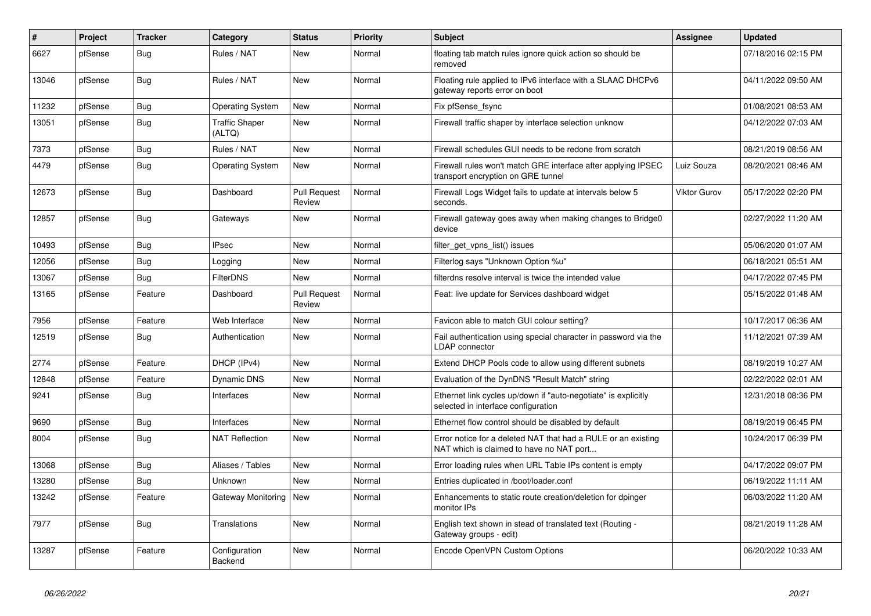| #     | Project | <b>Tracker</b> | Category                        | <b>Status</b>                 | <b>Priority</b> | <b>Subject</b>                                                                                            | <b>Assignee</b>     | <b>Updated</b>      |
|-------|---------|----------------|---------------------------------|-------------------------------|-----------------|-----------------------------------------------------------------------------------------------------------|---------------------|---------------------|
| 6627  | pfSense | Bug            | Rules / NAT                     | <b>New</b>                    | Normal          | floating tab match rules ignore quick action so should be<br>removed                                      |                     | 07/18/2016 02:15 PM |
| 13046 | pfSense | <b>Bug</b>     | Rules / NAT                     | New                           | Normal          | Floating rule applied to IPv6 interface with a SLAAC DHCPv6<br>gateway reports error on boot              |                     | 04/11/2022 09:50 AM |
| 11232 | pfSense | <b>Bug</b>     | <b>Operating System</b>         | <b>New</b>                    | Normal          | Fix pfSense_fsync                                                                                         |                     | 01/08/2021 08:53 AM |
| 13051 | pfSense | Bug            | <b>Traffic Shaper</b><br>(ALTQ) | New                           | Normal          | Firewall traffic shaper by interface selection unknow                                                     |                     | 04/12/2022 07:03 AM |
| 7373  | pfSense | <b>Bug</b>     | Rules / NAT                     | <b>New</b>                    | Normal          | Firewall schedules GUI needs to be redone from scratch                                                    |                     | 08/21/2019 08:56 AM |
| 4479  | pfSense | <b>Bug</b>     | <b>Operating System</b>         | <b>New</b>                    | Normal          | Firewall rules won't match GRE interface after applying IPSEC<br>transport encryption on GRE tunnel       | Luiz Souza          | 08/20/2021 08:46 AM |
| 12673 | pfSense | <b>Bug</b>     | Dashboard                       | Pull Request<br>Review        | Normal          | Firewall Logs Widget fails to update at intervals below 5<br>seconds.                                     | <b>Viktor Gurov</b> | 05/17/2022 02:20 PM |
| 12857 | pfSense | <b>Bug</b>     | Gateways                        | New                           | Normal          | Firewall gateway goes away when making changes to Bridge0<br>device                                       |                     | 02/27/2022 11:20 AM |
| 10493 | pfSense | Bug            | <b>IPsec</b>                    | <b>New</b>                    | Normal          | filter get vpns list() issues                                                                             |                     | 05/06/2020 01:07 AM |
| 12056 | pfSense | <b>Bug</b>     | Logging                         | <b>New</b>                    | Normal          | Filterlog says "Unknown Option %u"                                                                        |                     | 06/18/2021 05:51 AM |
| 13067 | pfSense | <b>Bug</b>     | <b>FilterDNS</b>                | <b>New</b>                    | Normal          | filterdns resolve interval is twice the intended value                                                    |                     | 04/17/2022 07:45 PM |
| 13165 | pfSense | Feature        | Dashboard                       | <b>Pull Request</b><br>Review | Normal          | Feat: live update for Services dashboard widget                                                           |                     | 05/15/2022 01:48 AM |
| 7956  | pfSense | Feature        | Web Interface                   | New                           | Normal          | Favicon able to match GUI colour setting?                                                                 |                     | 10/17/2017 06:36 AM |
| 12519 | pfSense | <b>Bug</b>     | Authentication                  | <b>New</b>                    | Normal          | Fail authentication using special character in password via the<br><b>LDAP</b> connector                  |                     | 11/12/2021 07:39 AM |
| 2774  | pfSense | Feature        | DHCP (IPv4)                     | <b>New</b>                    | Normal          | Extend DHCP Pools code to allow using different subnets                                                   |                     | 08/19/2019 10:27 AM |
| 12848 | pfSense | Feature        | Dynamic DNS                     | New                           | Normal          | Evaluation of the DynDNS "Result Match" string                                                            |                     | 02/22/2022 02:01 AM |
| 9241  | pfSense | Bug            | Interfaces                      | New                           | Normal          | Ethernet link cycles up/down if "auto-negotiate" is explicitly<br>selected in interface configuration     |                     | 12/31/2018 08:36 PM |
| 9690  | pfSense | <b>Bug</b>     | Interfaces                      | <b>New</b>                    | Normal          | Ethernet flow control should be disabled by default                                                       |                     | 08/19/2019 06:45 PM |
| 8004  | pfSense | Bug            | <b>NAT Reflection</b>           | New                           | Normal          | Error notice for a deleted NAT that had a RULE or an existing<br>NAT which is claimed to have no NAT port |                     | 10/24/2017 06:39 PM |
| 13068 | pfSense | <b>Bug</b>     | Aliases / Tables                | <b>New</b>                    | Normal          | Error loading rules when URL Table IPs content is empty                                                   |                     | 04/17/2022 09:07 PM |
| 13280 | pfSense | <b>Bug</b>     | Unknown                         | <b>New</b>                    | Normal          | Entries duplicated in /boot/loader.conf                                                                   |                     | 06/19/2022 11:11 AM |
| 13242 | pfSense | Feature        | Gateway Monitoring              | <b>New</b>                    | Normal          | Enhancements to static route creation/deletion for dpinger<br>monitor IPs                                 |                     | 06/03/2022 11:20 AM |
| 7977  | pfSense | <b>Bug</b>     | Translations                    | <b>New</b>                    | Normal          | English text shown in stead of translated text (Routing -<br>Gateway groups - edit)                       |                     | 08/21/2019 11:28 AM |
| 13287 | pfSense | Feature        | Configuration<br>Backend        | <b>New</b>                    | Normal          | Encode OpenVPN Custom Options                                                                             |                     | 06/20/2022 10:33 AM |